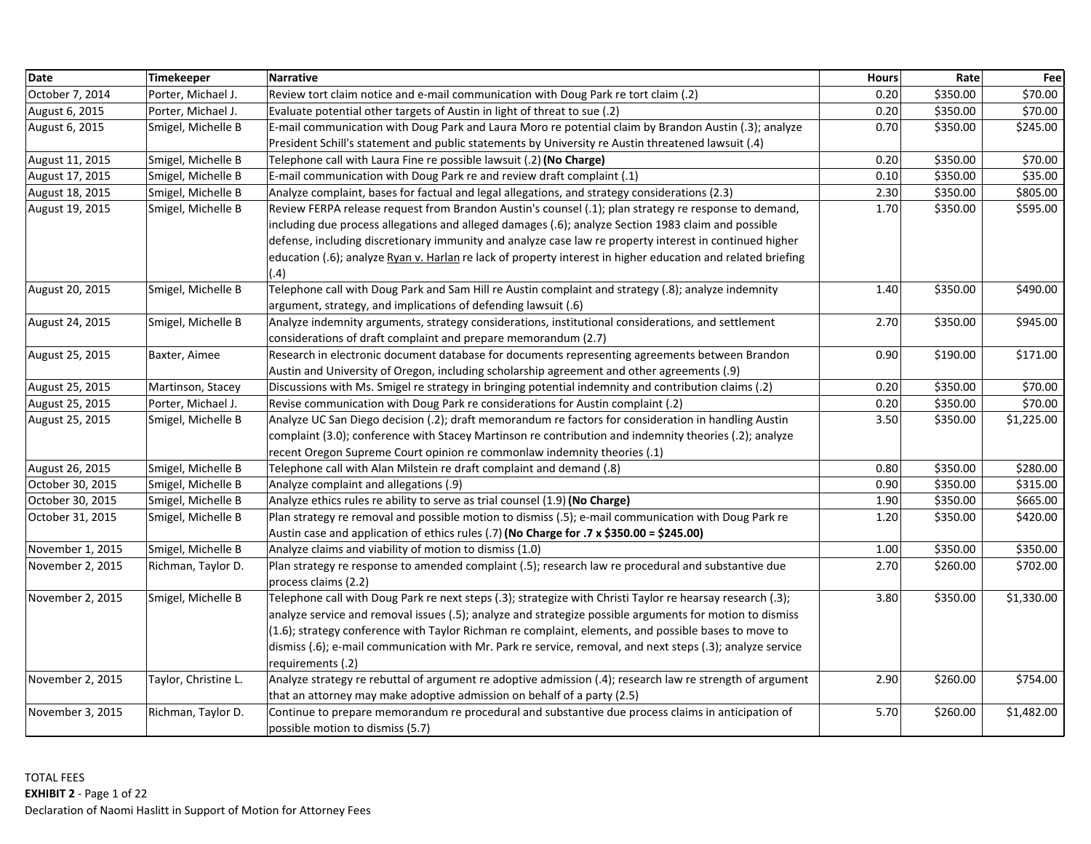| <b>Date</b>      | Timekeeper           | <b>Narrative</b>                                                                                             | <b>Hours</b> | Rate     | Fee        |
|------------------|----------------------|--------------------------------------------------------------------------------------------------------------|--------------|----------|------------|
| October 7, 2014  | Porter, Michael J.   | Review tort claim notice and e-mail communication with Doug Park re tort claim (.2)                          | 0.20         | \$350.00 | \$70.00    |
| August 6, 2015   | Porter, Michael J.   | Evaluate potential other targets of Austin in light of threat to sue (.2)                                    | 0.20         | \$350.00 | \$70.00    |
| August 6, 2015   | Smigel, Michelle B   | E-mail communication with Doug Park and Laura Moro re potential claim by Brandon Austin (.3); analyze        | 0.70         | \$350.00 | \$245.00   |
|                  |                      | President Schill's statement and public statements by University re Austin threatened lawsuit (.4)           |              |          |            |
| August 11, 2015  | Smigel, Michelle B   | Telephone call with Laura Fine re possible lawsuit (.2) (No Charge)                                          | 0.20         | \$350.00 | \$70.00    |
| August 17, 2015  | Smigel, Michelle B   | E-mail communication with Doug Park re and review draft complaint (.1)                                       | 0.10         | \$350.00 | \$35.00    |
| August 18, 2015  | Smigel, Michelle B   | Analyze complaint, bases for factual and legal allegations, and strategy considerations (2.3)                | 2.30         | \$350.00 | \$805.00   |
| August 19, 2015  | Smigel, Michelle B   | Review FERPA release request from Brandon Austin's counsel (.1); plan strategy re response to demand,        | 1.70         | \$350.00 | \$595.00   |
|                  |                      | including due process allegations and alleged damages (.6); analyze Section 1983 claim and possible          |              |          |            |
|                  |                      | defense, including discretionary immunity and analyze case law re property interest in continued higher      |              |          |            |
|                  |                      | education (.6); analyze Ryan v. Harlan re lack of property interest in higher education and related briefing |              |          |            |
|                  |                      | (.4)                                                                                                         |              |          |            |
| August 20, 2015  | Smigel, Michelle B   | Telephone call with Doug Park and Sam Hill re Austin complaint and strategy (.8); analyze indemnity          | 1.40         | \$350.00 | \$490.00   |
|                  |                      | argument, strategy, and implications of defending lawsuit (.6)                                               |              |          |            |
| August 24, 2015  | Smigel, Michelle B   | Analyze indemnity arguments, strategy considerations, institutional considerations, and settlement           | 2.70         | \$350.00 | \$945.00   |
|                  |                      | considerations of draft complaint and prepare memorandum (2.7)                                               |              |          |            |
| August 25, 2015  | Baxter, Aimee        | Research in electronic document database for documents representing agreements between Brandon               | 0.90         | \$190.00 | \$171.00   |
|                  |                      | Austin and University of Oregon, including scholarship agreement and other agreements (.9)                   |              |          |            |
| August 25, 2015  | Martinson, Stacey    | Discussions with Ms. Smigel re strategy in bringing potential indemnity and contribution claims (.2)         | 0.20         | \$350.00 | \$70.00    |
| August 25, 2015  | Porter, Michael J.   | Revise communication with Doug Park re considerations for Austin complaint (.2)                              | 0.20         | \$350.00 | \$70.00    |
| August 25, 2015  | Smigel, Michelle B   | Analyze UC San Diego decision (.2); draft memorandum re factors for consideration in handling Austin         | 3.50         | \$350.00 | \$1,225.00 |
|                  |                      | complaint (3.0); conference with Stacey Martinson re contribution and indemnity theories (.2); analyze       |              |          |            |
|                  |                      | recent Oregon Supreme Court opinion re commonlaw indemnity theories (.1)                                     |              |          |            |
| August 26, 2015  | Smigel, Michelle B   | Telephone call with Alan Milstein re draft complaint and demand (.8)                                         | 0.80         | \$350.00 | \$280.00   |
| October 30, 2015 | Smigel, Michelle B   | Analyze complaint and allegations (.9)                                                                       | 0.90         | \$350.00 | \$315.00   |
| October 30, 2015 | Smigel, Michelle B   | Analyze ethics rules re ability to serve as trial counsel (1.9) (No Charge)                                  | 1.90         | \$350.00 | \$665.00   |
| October 31, 2015 | Smigel, Michelle B   | Plan strategy re removal and possible motion to dismiss (.5); e-mail communication with Doug Park re         | 1.20         | \$350.00 | \$420.00   |
|                  |                      | Austin case and application of ethics rules (.7) (No Charge for .7 x \$350.00 = \$245.00)                    |              |          |            |
| November 1, 2015 | Smigel, Michelle B   | Analyze claims and viability of motion to dismiss (1.0)                                                      | 1.00         | \$350.00 | \$350.00   |
| November 2, 2015 | Richman, Taylor D.   | Plan strategy re response to amended complaint (.5); research law re procedural and substantive due          | 2.70         | \$260.00 | \$702.00   |
|                  |                      | process claims (2.2)                                                                                         |              |          |            |
| November 2, 2015 | Smigel, Michelle B   | Telephone call with Doug Park re next steps (.3); strategize with Christi Taylor re hearsay research (.3);   | 3.80         | \$350.00 | \$1,330.00 |
|                  |                      | analyze service and removal issues (.5); analyze and strategize possible arguments for motion to dismiss     |              |          |            |
|                  |                      | (1.6); strategy conference with Taylor Richman re complaint, elements, and possible bases to move to         |              |          |            |
|                  |                      | dismiss (.6); e-mail communication with Mr. Park re service, removal, and next steps (.3); analyze service   |              |          |            |
|                  |                      | requirements (.2)                                                                                            |              |          |            |
| November 2, 2015 | Taylor, Christine L. | Analyze strategy re rebuttal of argument re adoptive admission (.4); research law re strength of argument    | 2.90         | \$260.00 | \$754.00   |
|                  |                      | that an attorney may make adoptive admission on behalf of a party (2.5)                                      |              |          |            |
| November 3, 2015 | Richman, Taylor D.   | Continue to prepare memorandum re procedural and substantive due process claims in anticipation of           | 5.70         | \$260.00 | \$1,482.00 |
|                  |                      | possible motion to dismiss (5.7)                                                                             |              |          |            |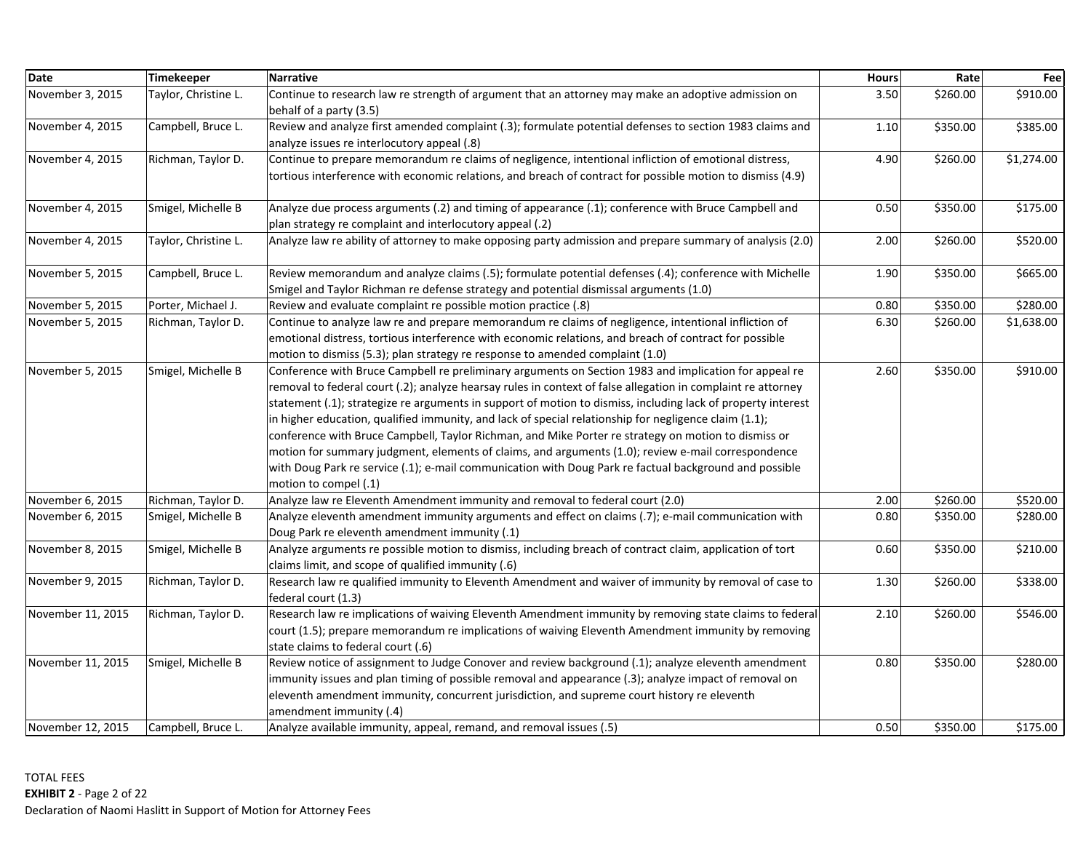| <b>Date</b>       | Timekeeper           | <b>Narrative</b>                                                                                                                                                                                                                                                                                                                                                                                                                                                                                                                                                                                                                                                                                                                                                                               | <b>Hours</b> | Rate     | Fee        |
|-------------------|----------------------|------------------------------------------------------------------------------------------------------------------------------------------------------------------------------------------------------------------------------------------------------------------------------------------------------------------------------------------------------------------------------------------------------------------------------------------------------------------------------------------------------------------------------------------------------------------------------------------------------------------------------------------------------------------------------------------------------------------------------------------------------------------------------------------------|--------------|----------|------------|
| November 3, 2015  | Taylor, Christine L. | Continue to research law re strength of argument that an attorney may make an adoptive admission on<br>behalf of a party (3.5)                                                                                                                                                                                                                                                                                                                                                                                                                                                                                                                                                                                                                                                                 | 3.50         | \$260.00 | \$910.00   |
| November 4, 2015  | Campbell, Bruce L.   | Review and analyze first amended complaint (.3); formulate potential defenses to section 1983 claims and<br>analyze issues re interlocutory appeal (.8)                                                                                                                                                                                                                                                                                                                                                                                                                                                                                                                                                                                                                                        | 1.10         | \$350.00 | \$385.00   |
| November 4, 2015  | Richman, Taylor D.   | Continue to prepare memorandum re claims of negligence, intentional infliction of emotional distress,<br>tortious interference with economic relations, and breach of contract for possible motion to dismiss (4.9)                                                                                                                                                                                                                                                                                                                                                                                                                                                                                                                                                                            | 4.90         | \$260.00 | \$1,274.00 |
| November 4, 2015  | Smigel, Michelle B   | Analyze due process arguments (.2) and timing of appearance (.1); conference with Bruce Campbell and<br>plan strategy re complaint and interlocutory appeal (.2)                                                                                                                                                                                                                                                                                                                                                                                                                                                                                                                                                                                                                               | 0.50         | \$350.00 | \$175.00   |
| November 4, 2015  | Taylor, Christine L. | Analyze law re ability of attorney to make opposing party admission and prepare summary of analysis (2.0)                                                                                                                                                                                                                                                                                                                                                                                                                                                                                                                                                                                                                                                                                      | 2.00         | \$260.00 | \$520.00   |
| November 5, 2015  | Campbell, Bruce L.   | Review memorandum and analyze claims (.5); formulate potential defenses (.4); conference with Michelle<br>Smigel and Taylor Richman re defense strategy and potential dismissal arguments (1.0)                                                                                                                                                                                                                                                                                                                                                                                                                                                                                                                                                                                                | 1.90         | \$350.00 | \$665.00   |
| November 5, 2015  | Porter, Michael J.   | Review and evaluate complaint re possible motion practice (.8)                                                                                                                                                                                                                                                                                                                                                                                                                                                                                                                                                                                                                                                                                                                                 | 0.80         | \$350.00 | \$280.00   |
| November 5, 2015  | Richman, Taylor D.   | Continue to analyze law re and prepare memorandum re claims of negligence, intentional infliction of<br>emotional distress, tortious interference with economic relations, and breach of contract for possible<br>motion to dismiss (5.3); plan strategy re response to amended complaint (1.0)                                                                                                                                                                                                                                                                                                                                                                                                                                                                                                | 6.30         | \$260.00 | \$1,638.00 |
| November 5, 2015  | Smigel, Michelle B   | Conference with Bruce Campbell re preliminary arguments on Section 1983 and implication for appeal re<br>removal to federal court (.2); analyze hearsay rules in context of false allegation in complaint re attorney<br>statement (.1); strategize re arguments in support of motion to dismiss, including lack of property interest<br>in higher education, qualified immunity, and lack of special relationship for negligence claim (1.1);<br>conference with Bruce Campbell, Taylor Richman, and Mike Porter re strategy on motion to dismiss or<br>motion for summary judgment, elements of claims, and arguments (1.0); review e-mail correspondence<br>with Doug Park re service (.1); e-mail communication with Doug Park re factual background and possible<br>motion to compel (.1) | 2.60         | \$350.00 | \$910.00   |
| November 6, 2015  | Richman, Taylor D.   | Analyze law re Eleventh Amendment immunity and removal to federal court (2.0)                                                                                                                                                                                                                                                                                                                                                                                                                                                                                                                                                                                                                                                                                                                  | 2.00         | \$260.00 | \$520.00   |
| November 6, 2015  | Smigel, Michelle B   | Analyze eleventh amendment immunity arguments and effect on claims (.7); e-mail communication with<br>Doug Park re eleventh amendment immunity (.1)                                                                                                                                                                                                                                                                                                                                                                                                                                                                                                                                                                                                                                            | 0.80         | \$350.00 | \$280.00   |
| November 8, 2015  | Smigel, Michelle B   | Analyze arguments re possible motion to dismiss, including breach of contract claim, application of tort<br>claims limit, and scope of qualified immunity (.6)                                                                                                                                                                                                                                                                                                                                                                                                                                                                                                                                                                                                                                 | 0.60         | \$350.00 | \$210.00   |
| November 9, 2015  | Richman, Taylor D.   | Research law re qualified immunity to Eleventh Amendment and waiver of immunity by removal of case to<br>federal court (1.3)                                                                                                                                                                                                                                                                                                                                                                                                                                                                                                                                                                                                                                                                   | 1.30         | \$260.00 | \$338.00   |
| November 11, 2015 | Richman, Taylor D.   | Research law re implications of waiving Eleventh Amendment immunity by removing state claims to federal<br>court (1.5); prepare memorandum re implications of waiving Eleventh Amendment immunity by removing<br>state claims to federal court (.6)                                                                                                                                                                                                                                                                                                                                                                                                                                                                                                                                            | 2.10         | \$260.00 | \$546.00   |
| November 11, 2015 | Smigel, Michelle B   | Review notice of assignment to Judge Conover and review background (.1); analyze eleventh amendment<br>immunity issues and plan timing of possible removal and appearance (.3); analyze impact of removal on<br>eleventh amendment immunity, concurrent jurisdiction, and supreme court history re eleventh<br>amendment immunity (.4)                                                                                                                                                                                                                                                                                                                                                                                                                                                         | 0.80         | \$350.00 | \$280.00   |
| November 12, 2015 | Campbell, Bruce L.   | Analyze available immunity, appeal, remand, and removal issues (.5)                                                                                                                                                                                                                                                                                                                                                                                                                                                                                                                                                                                                                                                                                                                            | 0.50         | \$350.00 | \$175.00   |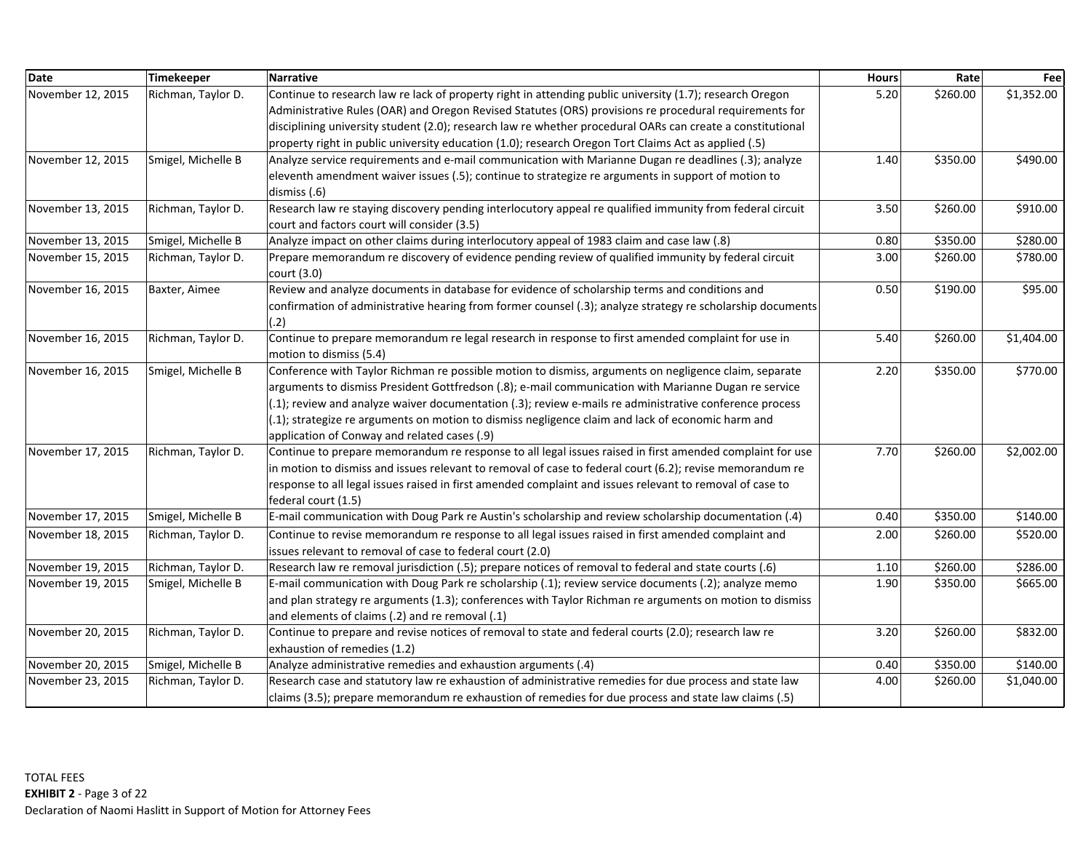| <b>Date</b>       | Timekeeper         | <b>Narrative</b>                                                                                                                                                                                                                                                                                                                                                                                                                                                              | <b>Hours</b> | Rate     | Fee        |
|-------------------|--------------------|-------------------------------------------------------------------------------------------------------------------------------------------------------------------------------------------------------------------------------------------------------------------------------------------------------------------------------------------------------------------------------------------------------------------------------------------------------------------------------|--------------|----------|------------|
| November 12, 2015 | Richman, Taylor D. | Continue to research law re lack of property right in attending public university (1.7); research Oregon<br>Administrative Rules (OAR) and Oregon Revised Statutes (ORS) provisions re procedural requirements for<br>disciplining university student (2.0); research law re whether procedural OARs can create a constitutional                                                                                                                                              | 5.20         | \$260.00 | \$1,352.00 |
|                   |                    | property right in public university education (1.0); research Oregon Tort Claims Act as applied (.5)                                                                                                                                                                                                                                                                                                                                                                          |              |          |            |
| November 12, 2015 | Smigel, Michelle B | Analyze service requirements and e-mail communication with Marianne Dugan re deadlines (.3); analyze<br>eleventh amendment waiver issues (.5); continue to strategize re arguments in support of motion to<br>dismiss (.6)                                                                                                                                                                                                                                                    | 1.40         | \$350.00 | \$490.00   |
| November 13, 2015 | Richman, Taylor D. | Research law re staying discovery pending interlocutory appeal re qualified immunity from federal circuit<br>court and factors court will consider (3.5)                                                                                                                                                                                                                                                                                                                      | 3.50         | \$260.00 | \$910.00   |
| November 13, 2015 | Smigel, Michelle B | Analyze impact on other claims during interlocutory appeal of 1983 claim and case law (.8)                                                                                                                                                                                                                                                                                                                                                                                    | 0.80         | \$350.00 | \$280.00   |
| November 15, 2015 | Richman, Taylor D. | Prepare memorandum re discovery of evidence pending review of qualified immunity by federal circuit<br>court (3.0)                                                                                                                                                                                                                                                                                                                                                            | 3.00         | \$260.00 | \$780.00   |
| November 16, 2015 | Baxter, Aimee      | Review and analyze documents in database for evidence of scholarship terms and conditions and<br>confirmation of administrative hearing from former counsel (.3); analyze strategy re scholarship documents<br>(.2)                                                                                                                                                                                                                                                           | 0.50         | \$190.00 | \$95.00    |
| November 16, 2015 | Richman, Taylor D. | Continue to prepare memorandum re legal research in response to first amended complaint for use in<br>motion to dismiss (5.4)                                                                                                                                                                                                                                                                                                                                                 | 5.40         | \$260.00 | \$1,404.00 |
| November 16, 2015 | Smigel, Michelle B | Conference with Taylor Richman re possible motion to dismiss, arguments on negligence claim, separate<br>arguments to dismiss President Gottfredson (.8); e-mail communication with Marianne Dugan re service<br>(.1); review and analyze waiver documentation (.3); review e-mails re administrative conference process<br>(.1); strategize re arguments on motion to dismiss negligence claim and lack of economic harm and<br>application of Conway and related cases (.9) | 2.20         | \$350.00 | \$770.00   |
| November 17, 2015 | Richman, Taylor D. | Continue to prepare memorandum re response to all legal issues raised in first amended complaint for use<br>in motion to dismiss and issues relevant to removal of case to federal court (6.2); revise memorandum re<br>response to all legal issues raised in first amended complaint and issues relevant to removal of case to<br>federal court (1.5)                                                                                                                       | 7.70         | \$260.00 | \$2,002.00 |
| November 17, 2015 | Smigel, Michelle B | E-mail communication with Doug Park re Austin's scholarship and review scholarship documentation (.4)                                                                                                                                                                                                                                                                                                                                                                         | 0.40         | \$350.00 | \$140.00   |
| November 18, 2015 | Richman, Taylor D. | Continue to revise memorandum re response to all legal issues raised in first amended complaint and<br>issues relevant to removal of case to federal court (2.0)                                                                                                                                                                                                                                                                                                              | 2.00         | \$260.00 | \$520.00   |
| November 19, 2015 | Richman, Taylor D. | Research law re removal jurisdiction (.5); prepare notices of removal to federal and state courts (.6)                                                                                                                                                                                                                                                                                                                                                                        | 1.10         | \$260.00 | \$286.00   |
| November 19, 2015 | Smigel, Michelle B | E-mail communication with Doug Park re scholarship (.1); review service documents (.2); analyze memo<br>and plan strategy re arguments (1.3); conferences with Taylor Richman re arguments on motion to dismiss<br>and elements of claims (.2) and re removal (.1)                                                                                                                                                                                                            | 1.90         | \$350.00 | \$665.00   |
| November 20, 2015 | Richman, Taylor D. | Continue to prepare and revise notices of removal to state and federal courts (2.0); research law re<br>exhaustion of remedies (1.2)                                                                                                                                                                                                                                                                                                                                          | 3.20         | \$260.00 | \$832.00   |
| November 20, 2015 | Smigel, Michelle B | Analyze administrative remedies and exhaustion arguments (.4)                                                                                                                                                                                                                                                                                                                                                                                                                 | 0.40         | \$350.00 | \$140.00   |
| November 23, 2015 | Richman, Taylor D. | Research case and statutory law re exhaustion of administrative remedies for due process and state law<br>claims (3.5); prepare memorandum re exhaustion of remedies for due process and state law claims (.5)                                                                                                                                                                                                                                                                | 4.00         | \$260.00 | \$1,040.00 |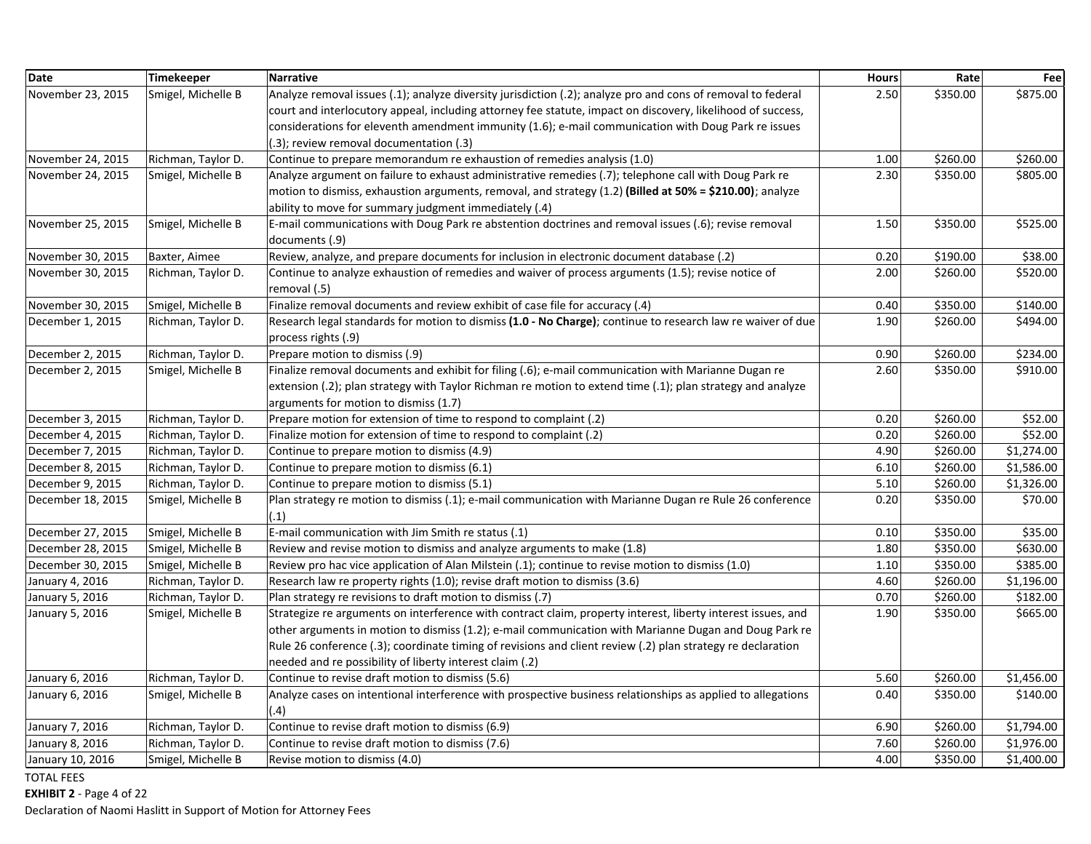| <b>Date</b>       | <b>Timekeeper</b>  | <b>Narrative</b>                                                                                             | <b>Hours</b> | Rate     | Fee        |
|-------------------|--------------------|--------------------------------------------------------------------------------------------------------------|--------------|----------|------------|
| November 23, 2015 | Smigel, Michelle B | Analyze removal issues (.1); analyze diversity jurisdiction (.2); analyze pro and cons of removal to federal | 2.50         | \$350.00 | \$875.00   |
|                   |                    | court and interlocutory appeal, including attorney fee statute, impact on discovery, likelihood of success,  |              |          |            |
|                   |                    | considerations for eleventh amendment immunity (1.6); e-mail communication with Doug Park re issues          |              |          |            |
|                   |                    | (.3); review removal documentation (.3)                                                                      |              |          |            |
| November 24, 2015 | Richman, Taylor D. | Continue to prepare memorandum re exhaustion of remedies analysis (1.0)                                      | 1.00         | \$260.00 | \$260.00   |
| November 24, 2015 | Smigel, Michelle B | Analyze argument on failure to exhaust administrative remedies (.7); telephone call with Doug Park re        | 2.30         | \$350.00 | \$805.00   |
|                   |                    | motion to dismiss, exhaustion arguments, removal, and strategy (1.2) (Billed at 50% = \$210.00); analyze     |              |          |            |
|                   |                    | ability to move for summary judgment immediately (.4)                                                        |              |          |            |
| November 25, 2015 | Smigel, Michelle B | E-mail communications with Doug Park re abstention doctrines and removal issues (.6); revise removal         | 1.50         | \$350.00 | \$525.00   |
|                   |                    | documents (.9)                                                                                               |              |          |            |
| November 30, 2015 | Baxter, Aimee      | Review, analyze, and prepare documents for inclusion in electronic document database (.2)                    | 0.20         | \$190.00 | \$38.00    |
| November 30, 2015 | Richman, Taylor D. | Continue to analyze exhaustion of remedies and waiver of process arguments (1.5); revise notice of           | 2.00         | \$260.00 | \$520.00   |
|                   |                    | removal (.5)                                                                                                 |              |          |            |
| November 30, 2015 | Smigel, Michelle B | Finalize removal documents and review exhibit of case file for accuracy (.4)                                 | 0.40         | \$350.00 | \$140.00   |
| December 1, 2015  | Richman, Taylor D. | Research legal standards for motion to dismiss (1.0 - No Charge); continue to research law re waiver of due  | 1.90         | \$260.00 | \$494.00   |
|                   |                    | process rights (.9)                                                                                          |              |          |            |
| December 2, 2015  | Richman, Taylor D. | Prepare motion to dismiss (.9)                                                                               | 0.90         | \$260.00 | \$234.00   |
| December 2, 2015  | Smigel, Michelle B | Finalize removal documents and exhibit for filing (.6); e-mail communication with Marianne Dugan re          | 2.60         | \$350.00 | \$910.00   |
|                   |                    | extension (.2); plan strategy with Taylor Richman re motion to extend time (.1); plan strategy and analyze   |              |          |            |
|                   |                    | arguments for motion to dismiss (1.7)                                                                        |              |          |            |
| December 3, 2015  | Richman, Taylor D. | Prepare motion for extension of time to respond to complaint (.2)                                            | 0.20         | \$260.00 | \$52.00    |
| December 4, 2015  | Richman, Taylor D. | Finalize motion for extension of time to respond to complaint (.2)                                           | 0.20         | \$260.00 | \$52.00    |
| December 7, 2015  | Richman, Taylor D. | Continue to prepare motion to dismiss (4.9)                                                                  | 4.90         | \$260.00 | \$1,274.00 |
| December 8, 2015  | Richman, Taylor D. | Continue to prepare motion to dismiss (6.1)                                                                  | 6.10         | \$260.00 | \$1,586.00 |
| December 9, 2015  | Richman, Taylor D. | Continue to prepare motion to dismiss (5.1)                                                                  | 5.10         | \$260.00 | \$1,326.00 |
| December 18, 2015 | Smigel, Michelle B | Plan strategy re motion to dismiss (.1); e-mail communication with Marianne Dugan re Rule 26 conference      | 0.20         | \$350.00 | \$70.00    |
|                   |                    | (.1)                                                                                                         |              |          |            |
| December 27, 2015 | Smigel, Michelle B | E-mail communication with Jim Smith re status (.1)                                                           | 0.10         | \$350.00 | \$35.00    |
| December 28, 2015 | Smigel, Michelle B | Review and revise motion to dismiss and analyze arguments to make (1.8)                                      | 1.80         | \$350.00 | \$630.00   |
| December 30, 2015 | Smigel, Michelle B | Review pro hac vice application of Alan Milstein (.1); continue to revise motion to dismiss (1.0)            | 1.10         | \$350.00 | \$385.00   |
| January 4, 2016   | Richman, Taylor D. | Research law re property rights (1.0); revise draft motion to dismiss (3.6)                                  | 4.60         | \$260.00 | \$1,196.00 |
| January 5, 2016   | Richman, Taylor D. | Plan strategy re revisions to draft motion to dismiss (.7)                                                   | 0.70         | \$260.00 | \$182.00   |
| January 5, 2016   | Smigel, Michelle B | Strategize re arguments on interference with contract claim, property interest, liberty interest issues, and | 1.90         | \$350.00 | \$665.00   |
|                   |                    | other arguments in motion to dismiss (1.2); e-mail communication with Marianne Dugan and Doug Park re        |              |          |            |
|                   |                    | Rule 26 conference (.3); coordinate timing of revisions and client review (.2) plan strategy re declaration  |              |          |            |
|                   |                    | needed and re possibility of liberty interest claim (.2)                                                     |              |          |            |
| January 6, 2016   | Richman, Taylor D. | Continue to revise draft motion to dismiss (5.6)                                                             | 5.60         | \$260.00 | \$1,456.00 |
| January 6, 2016   | Smigel, Michelle B | Analyze cases on intentional interference with prospective business relationships as applied to allegations  | 0.40         | \$350.00 | \$140.00   |
|                   |                    | (.4)                                                                                                         |              |          |            |
| January 7, 2016   | Richman, Taylor D. | Continue to revise draft motion to dismiss (6.9)                                                             | 6.90         | \$260.00 | \$1,794.00 |
| January 8, 2016   | Richman, Taylor D. | Continue to revise draft motion to dismiss (7.6)                                                             | 7.60         | \$260.00 | \$1,976.00 |
| January 10, 2016  | Smigel, Michelle B | Revise motion to dismiss (4.0)                                                                               | 4.00         | \$350.00 | \$1,400.00 |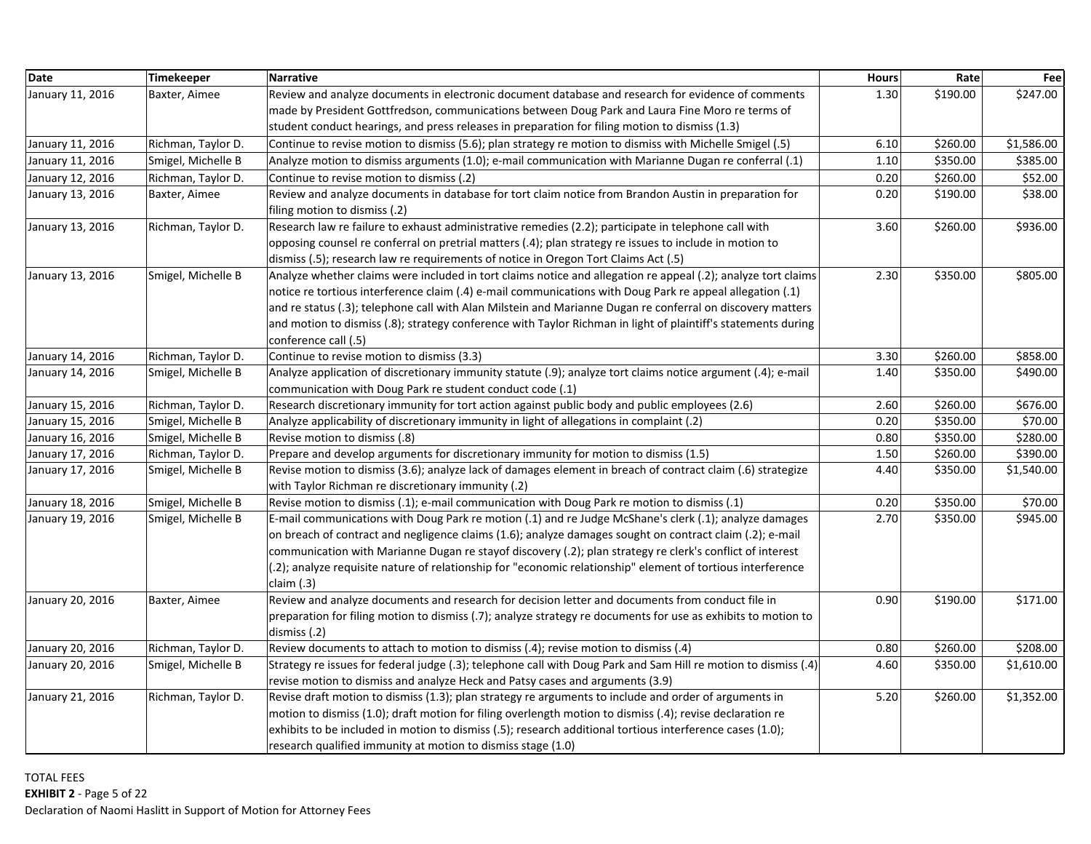| <b>Date</b>      | Timekeeper         | <b>Narrative</b>                                                                                                                                                                                                                                                                                                                                                                                                                                                                  | <b>Hours</b> | Rate     | Fee        |
|------------------|--------------------|-----------------------------------------------------------------------------------------------------------------------------------------------------------------------------------------------------------------------------------------------------------------------------------------------------------------------------------------------------------------------------------------------------------------------------------------------------------------------------------|--------------|----------|------------|
| January 11, 2016 | Baxter, Aimee      | Review and analyze documents in electronic document database and research for evidence of comments                                                                                                                                                                                                                                                                                                                                                                                | 1.30         | \$190.00 | \$247.00   |
|                  |                    | made by President Gottfredson, communications between Doug Park and Laura Fine Moro re terms of                                                                                                                                                                                                                                                                                                                                                                                   |              |          |            |
|                  |                    | student conduct hearings, and press releases in preparation for filing motion to dismiss (1.3)                                                                                                                                                                                                                                                                                                                                                                                    |              |          |            |
| January 11, 2016 | Richman, Taylor D. | Continue to revise motion to dismiss (5.6); plan strategy re motion to dismiss with Michelle Smigel (.5)                                                                                                                                                                                                                                                                                                                                                                          | 6.10         | \$260.00 | \$1,586.00 |
| January 11, 2016 | Smigel, Michelle B | Analyze motion to dismiss arguments (1.0); e-mail communication with Marianne Dugan re conferral (.1)                                                                                                                                                                                                                                                                                                                                                                             | 1.10         | \$350.00 | \$385.00   |
| January 12, 2016 | Richman, Taylor D. | Continue to revise motion to dismiss (.2)                                                                                                                                                                                                                                                                                                                                                                                                                                         | 0.20         | \$260.00 | \$52.00    |
| January 13, 2016 | Baxter, Aimee      | Review and analyze documents in database for tort claim notice from Brandon Austin in preparation for<br>filing motion to dismiss (.2)                                                                                                                                                                                                                                                                                                                                            | 0.20         | \$190.00 | \$38.00    |
| January 13, 2016 | Richman, Taylor D. | Research law re failure to exhaust administrative remedies (2.2); participate in telephone call with<br>opposing counsel re conferral on pretrial matters (.4); plan strategy re issues to include in motion to<br>dismiss (.5); research law re requirements of notice in Oregon Tort Claims Act (.5)                                                                                                                                                                            | 3.60         | \$260.00 | \$936.00   |
| January 13, 2016 | Smigel, Michelle B | Analyze whether claims were included in tort claims notice and allegation re appeal (.2); analyze tort claims<br>notice re tortious interference claim (.4) e-mail communications with Doug Park re appeal allegation (.1)<br>and re status (.3); telephone call with Alan Milstein and Marianne Dugan re conferral on discovery matters<br>and motion to dismiss (.8); strategy conference with Taylor Richman in light of plaintiff's statements during<br>conference call (.5) | 2.30         | \$350.00 | \$805.00   |
| January 14, 2016 | Richman, Taylor D. | Continue to revise motion to dismiss (3.3)                                                                                                                                                                                                                                                                                                                                                                                                                                        | 3.30         | \$260.00 | \$858.00   |
| January 14, 2016 | Smigel, Michelle B | Analyze application of discretionary immunity statute (.9); analyze tort claims notice argument (.4); e-mail<br>communication with Doug Park re student conduct code (.1)                                                                                                                                                                                                                                                                                                         | 1.40         | \$350.00 | \$490.00   |
| January 15, 2016 | Richman, Taylor D. | Research discretionary immunity for tort action against public body and public employees (2.6)                                                                                                                                                                                                                                                                                                                                                                                    | 2.60         | \$260.00 | \$676.00   |
| January 15, 2016 | Smigel, Michelle B | Analyze applicability of discretionary immunity in light of allegations in complaint (.2)                                                                                                                                                                                                                                                                                                                                                                                         | 0.20         | \$350.00 | \$70.00    |
| January 16, 2016 | Smigel, Michelle B | Revise motion to dismiss (.8)                                                                                                                                                                                                                                                                                                                                                                                                                                                     | 0.80         | \$350.00 | \$280.00   |
| January 17, 2016 | Richman, Taylor D. | Prepare and develop arguments for discretionary immunity for motion to dismiss (1.5)                                                                                                                                                                                                                                                                                                                                                                                              | 1.50         | \$260.00 | \$390.00   |
| January 17, 2016 | Smigel, Michelle B | Revise motion to dismiss (3.6); analyze lack of damages element in breach of contract claim (.6) strategize<br>with Taylor Richman re discretionary immunity (.2)                                                                                                                                                                                                                                                                                                                 | 4.40         | \$350.00 | \$1,540.00 |
| January 18, 2016 | Smigel, Michelle B | Revise motion to dismiss (.1); e-mail communication with Doug Park re motion to dismiss (.1)                                                                                                                                                                                                                                                                                                                                                                                      | 0.20         | \$350.00 | \$70.00    |
| January 19, 2016 | Smigel, Michelle B | E-mail communications with Doug Park re motion (.1) and re Judge McShane's clerk (.1); analyze damages<br>on breach of contract and negligence claims (1.6); analyze damages sought on contract claim (.2); e-mail<br>communication with Marianne Dugan re stayof discovery (.2); plan strategy re clerk's conflict of interest<br>(.2); analyze requisite nature of relationship for "economic relationship" element of tortious interference<br>claim $(.3)$                    | 2.70         | \$350.00 | \$945.00   |
| January 20, 2016 | Baxter, Aimee      | Review and analyze documents and research for decision letter and documents from conduct file in<br>preparation for filing motion to dismiss (.7); analyze strategy re documents for use as exhibits to motion to<br>dismiss (.2)                                                                                                                                                                                                                                                 | 0.90         | \$190.00 | \$171.00   |
| January 20, 2016 | Richman, Taylor D. | Review documents to attach to motion to dismiss (.4); revise motion to dismiss (.4)                                                                                                                                                                                                                                                                                                                                                                                               | 0.80         | \$260.00 | \$208.00   |
| January 20, 2016 | Smigel, Michelle B | Strategy re issues for federal judge (.3); telephone call with Doug Park and Sam Hill re motion to dismiss (.4)                                                                                                                                                                                                                                                                                                                                                                   | 4.60         | \$350.00 | \$1,610.00 |
|                  |                    | revise motion to dismiss and analyze Heck and Patsy cases and arguments (3.9)                                                                                                                                                                                                                                                                                                                                                                                                     |              |          |            |
| January 21, 2016 | Richman, Taylor D. | Revise draft motion to dismiss (1.3); plan strategy re arguments to include and order of arguments in<br>motion to dismiss (1.0); draft motion for filing overlength motion to dismiss (.4); revise declaration re<br>exhibits to be included in motion to dismiss (.5); research additional tortious interference cases (1.0);<br>research qualified immunity at motion to dismiss stage (1.0)                                                                                   | 5.20         | \$260.00 | \$1,352.00 |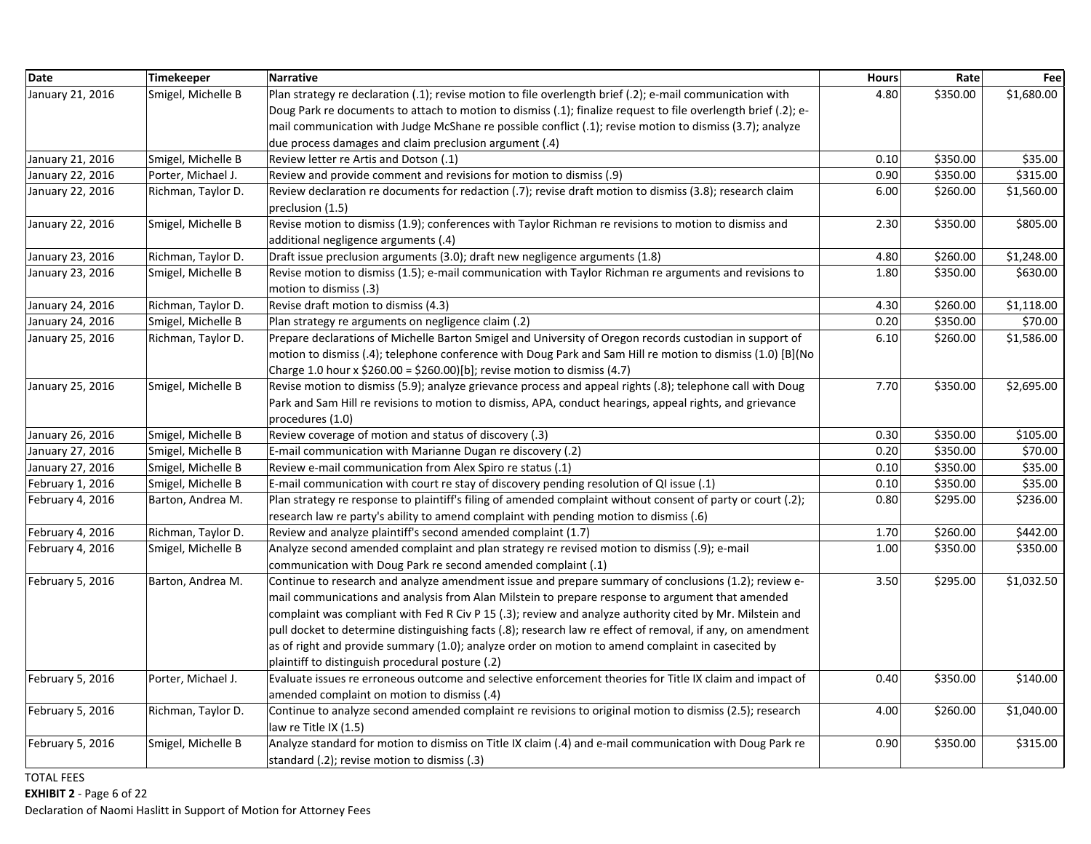| <b>Date</b>      | <b>Timekeeper</b>  | <b>Narrative</b>                                                                                                                                                                                                                                                                                                                                                                                                                                                                                                                                                                             | <b>Hours</b> | Rate     | Fee        |
|------------------|--------------------|----------------------------------------------------------------------------------------------------------------------------------------------------------------------------------------------------------------------------------------------------------------------------------------------------------------------------------------------------------------------------------------------------------------------------------------------------------------------------------------------------------------------------------------------------------------------------------------------|--------------|----------|------------|
| January 21, 2016 | Smigel, Michelle B | Plan strategy re declaration (.1); revise motion to file overlength brief (.2); e-mail communication with                                                                                                                                                                                                                                                                                                                                                                                                                                                                                    | 4.80         | \$350.00 | \$1,680.00 |
|                  |                    | Doug Park re documents to attach to motion to dismiss (.1); finalize request to file overlength brief (.2); e-                                                                                                                                                                                                                                                                                                                                                                                                                                                                               |              |          |            |
|                  |                    | mail communication with Judge McShane re possible conflict (.1); revise motion to dismiss (3.7); analyze                                                                                                                                                                                                                                                                                                                                                                                                                                                                                     |              |          |            |
|                  |                    | due process damages and claim preclusion argument (.4)                                                                                                                                                                                                                                                                                                                                                                                                                                                                                                                                       |              |          |            |
| January 21, 2016 | Smigel, Michelle B | Review letter re Artis and Dotson (.1)                                                                                                                                                                                                                                                                                                                                                                                                                                                                                                                                                       | 0.10         | \$350.00 | \$35.00    |
| January 22, 2016 | Porter, Michael J. | Review and provide comment and revisions for motion to dismiss (.9)                                                                                                                                                                                                                                                                                                                                                                                                                                                                                                                          | 0.90         | \$350.00 | \$315.00   |
| January 22, 2016 | Richman, Taylor D. | Review declaration re documents for redaction (.7); revise draft motion to dismiss (3.8); research claim<br>preclusion (1.5)                                                                                                                                                                                                                                                                                                                                                                                                                                                                 | 6.00         | \$260.00 | \$1,560.00 |
| January 22, 2016 | Smigel, Michelle B | Revise motion to dismiss (1.9); conferences with Taylor Richman re revisions to motion to dismiss and<br>additional negligence arguments (.4)                                                                                                                                                                                                                                                                                                                                                                                                                                                | 2.30         | \$350.00 | \$805.00   |
| January 23, 2016 | Richman, Taylor D. | Draft issue preclusion arguments (3.0); draft new negligence arguments (1.8)                                                                                                                                                                                                                                                                                                                                                                                                                                                                                                                 | 4.80         | \$260.00 | \$1,248.00 |
| January 23, 2016 | Smigel, Michelle B | Revise motion to dismiss (1.5); e-mail communication with Taylor Richman re arguments and revisions to<br>motion to dismiss (.3)                                                                                                                                                                                                                                                                                                                                                                                                                                                             | 1.80         | \$350.00 | \$630.00   |
| January 24, 2016 | Richman, Taylor D. | Revise draft motion to dismiss (4.3)                                                                                                                                                                                                                                                                                                                                                                                                                                                                                                                                                         | 4.30         | \$260.00 | \$1,118.00 |
| January 24, 2016 | Smigel, Michelle B | Plan strategy re arguments on negligence claim (.2)                                                                                                                                                                                                                                                                                                                                                                                                                                                                                                                                          | 0.20         | \$350.00 | \$70.00    |
| January 25, 2016 | Richman, Taylor D. | Prepare declarations of Michelle Barton Smigel and University of Oregon records custodian in support of<br>motion to dismiss (.4); telephone conference with Doug Park and Sam Hill re motion to dismiss (1.0) [B](No<br>Charge 1.0 hour x \$260.00 = \$260.00)[b]; revise motion to dismiss (4.7)                                                                                                                                                                                                                                                                                           | 6.10         | \$260.00 | \$1,586.00 |
| January 25, 2016 | Smigel, Michelle B | Revise motion to dismiss (5.9); analyze grievance process and appeal rights (.8); telephone call with Doug<br>Park and Sam Hill re revisions to motion to dismiss, APA, conduct hearings, appeal rights, and grievance<br>procedures (1.0)                                                                                                                                                                                                                                                                                                                                                   | 7.70         | \$350.00 | \$2,695.00 |
| January 26, 2016 | Smigel, Michelle B | Review coverage of motion and status of discovery (.3)                                                                                                                                                                                                                                                                                                                                                                                                                                                                                                                                       | 0.30         | \$350.00 | \$105.00   |
| January 27, 2016 | Smigel, Michelle B | E-mail communication with Marianne Dugan re discovery (.2)                                                                                                                                                                                                                                                                                                                                                                                                                                                                                                                                   | 0.20         | \$350.00 | \$70.00    |
| January 27, 2016 | Smigel, Michelle B | Review e-mail communication from Alex Spiro re status (.1)                                                                                                                                                                                                                                                                                                                                                                                                                                                                                                                                   | 0.10         | \$350.00 | \$35.00    |
| February 1, 2016 | Smigel, Michelle B | E-mail communication with court re stay of discovery pending resolution of QI issue (.1)                                                                                                                                                                                                                                                                                                                                                                                                                                                                                                     | 0.10         | \$350.00 | \$35.00    |
| February 4, 2016 | Barton, Andrea M.  | Plan strategy re response to plaintiff's filing of amended complaint without consent of party or court (.2);<br>research law re party's ability to amend complaint with pending motion to dismiss (.6)                                                                                                                                                                                                                                                                                                                                                                                       | 0.80         | \$295.00 | \$236.00   |
| February 4, 2016 | Richman, Taylor D. | Review and analyze plaintiff's second amended complaint (1.7)                                                                                                                                                                                                                                                                                                                                                                                                                                                                                                                                | 1.70         | \$260.00 | \$442.00   |
| February 4, 2016 | Smigel, Michelle B | Analyze second amended complaint and plan strategy re revised motion to dismiss (.9); e-mail<br>communication with Doug Park re second amended complaint (.1)                                                                                                                                                                                                                                                                                                                                                                                                                                | 1.00         | \$350.00 | \$350.00   |
| February 5, 2016 | Barton, Andrea M.  | Continue to research and analyze amendment issue and prepare summary of conclusions (1.2); review e-<br>mail communications and analysis from Alan Milstein to prepare response to argument that amended<br>complaint was compliant with Fed R Civ P 15 (.3); review and analyze authority cited by Mr. Milstein and<br>pull docket to determine distinguishing facts (.8); research law re effect of removal, if any, on amendment<br>as of right and provide summary (1.0); analyze order on motion to amend complaint in casecited by<br>plaintiff to distinguish procedural posture (.2) | 3.50         | \$295.00 | \$1,032.50 |
| February 5, 2016 | Porter, Michael J. | Evaluate issues re erroneous outcome and selective enforcement theories for Title IX claim and impact of<br>amended complaint on motion to dismiss (.4)                                                                                                                                                                                                                                                                                                                                                                                                                                      | 0.40         | \$350.00 | \$140.00   |
| February 5, 2016 | Richman, Taylor D. | Continue to analyze second amended complaint re revisions to original motion to dismiss (2.5); research<br>law re Title IX (1.5)                                                                                                                                                                                                                                                                                                                                                                                                                                                             | 4.00         | \$260.00 | \$1,040.00 |
| February 5, 2016 | Smigel, Michelle B | Analyze standard for motion to dismiss on Title IX claim (.4) and e-mail communication with Doug Park re<br>standard (.2); revise motion to dismiss (.3)                                                                                                                                                                                                                                                                                                                                                                                                                                     | 0.90         | \$350.00 | \$315.00   |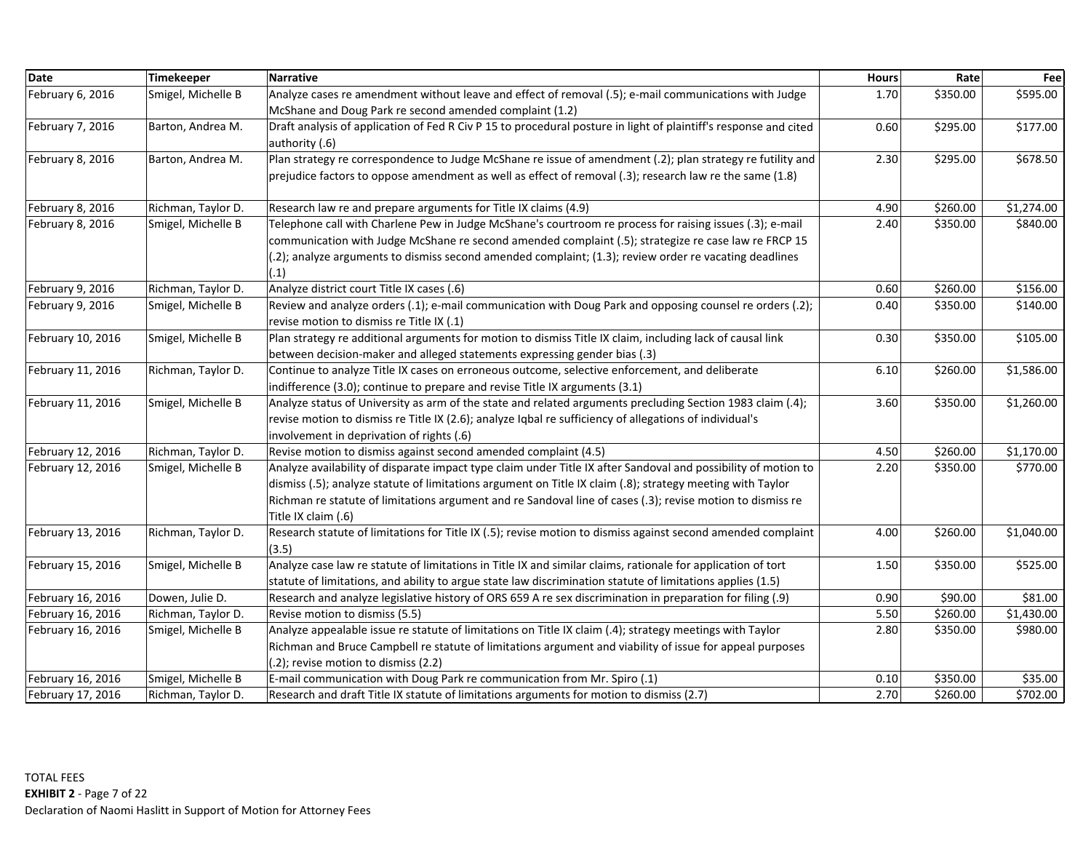| <b>Date</b>       | Timekeeper         | <b>Narrative</b>                                                                                                                   | <b>Hours</b> | Rate     | Fee        |
|-------------------|--------------------|------------------------------------------------------------------------------------------------------------------------------------|--------------|----------|------------|
| February 6, 2016  | Smigel, Michelle B | Analyze cases re amendment without leave and effect of removal (.5); e-mail communications with Judge                              | 1.70         | \$350.00 | \$595.00   |
|                   |                    | McShane and Doug Park re second amended complaint (1.2)                                                                            |              |          |            |
| February 7, 2016  | Barton, Andrea M.  | Draft analysis of application of Fed R Civ P 15 to procedural posture in light of plaintiff's response and cited<br>authority (.6) | 0.60         | \$295.00 | \$177.00   |
| February 8, 2016  | Barton, Andrea M.  | Plan strategy re correspondence to Judge McShane re issue of amendment (.2); plan strategy re futility and                         | 2.30         | \$295.00 | \$678.50   |
|                   |                    | prejudice factors to oppose amendment as well as effect of removal (.3); research law re the same (1.8)                            |              |          |            |
| February 8, 2016  | Richman, Taylor D. | Research law re and prepare arguments for Title IX claims (4.9)                                                                    | 4.90         | \$260.00 | \$1,274.00 |
| February 8, 2016  | Smigel, Michelle B | Telephone call with Charlene Pew in Judge McShane's courtroom re process for raising issues (.3); e-mail                           | 2.40         | \$350.00 | \$840.00   |
|                   |                    | communication with Judge McShane re second amended complaint (.5); strategize re case law re FRCP 15                               |              |          |            |
|                   |                    | (.2); analyze arguments to dismiss second amended complaint; (1.3); review order re vacating deadlines<br>(.1)                     |              |          |            |
| February 9, 2016  | Richman, Taylor D. | Analyze district court Title IX cases (.6)                                                                                         | 0.60         | \$260.00 | \$156.00   |
| February 9, 2016  | Smigel, Michelle B | Review and analyze orders (.1); e-mail communication with Doug Park and opposing counsel re orders (.2);                           | 0.40         | \$350.00 | \$140.00   |
|                   |                    | revise motion to dismiss re Title IX (.1)                                                                                          |              |          |            |
| February 10, 2016 | Smigel, Michelle B | Plan strategy re additional arguments for motion to dismiss Title IX claim, including lack of causal link                          | 0.30         | \$350.00 | \$105.00   |
|                   |                    | between decision-maker and alleged statements expressing gender bias (.3)                                                          |              |          |            |
| February 11, 2016 | Richman, Taylor D. | Continue to analyze Title IX cases on erroneous outcome, selective enforcement, and deliberate                                     | 6.10         | \$260.00 | \$1,586.00 |
|                   |                    | indifference (3.0); continue to prepare and revise Title IX arguments (3.1)                                                        |              |          |            |
| February 11, 2016 | Smigel, Michelle B | Analyze status of University as arm of the state and related arguments precluding Section 1983 claim (.4);                         | 3.60         | \$350.00 | \$1,260.00 |
|                   |                    | revise motion to dismiss re Title IX (2.6); analyze Igbal re sufficiency of allegations of individual's                            |              |          |            |
|                   |                    | involvement in deprivation of rights (.6)                                                                                          |              |          |            |
| February 12, 2016 | Richman, Taylor D. | Revise motion to dismiss against second amended complaint (4.5)                                                                    | 4.50         | \$260.00 | \$1,170.00 |
| February 12, 2016 | Smigel, Michelle B | Analyze availability of disparate impact type claim under Title IX after Sandoval and possibility of motion to                     | 2.20         | \$350.00 | \$770.00   |
|                   |                    | dismiss (.5); analyze statute of limitations argument on Title IX claim (.8); strategy meeting with Taylor                         |              |          |            |
|                   |                    | Richman re statute of limitations argument and re Sandoval line of cases (.3); revise motion to dismiss re                         |              |          |            |
|                   |                    | Title IX claim (.6)                                                                                                                |              |          |            |
| February 13, 2016 | Richman, Taylor D. | Research statute of limitations for Title IX (.5); revise motion to dismiss against second amended complaint<br>(3.5)              | 4.00         | \$260.00 | \$1,040.00 |
| February 15, 2016 | Smigel, Michelle B | Analyze case law re statute of limitations in Title IX and similar claims, rationale for application of tort                       | 1.50         | \$350.00 | \$525.00   |
|                   |                    | statute of limitations, and ability to argue state law discrimination statute of limitations applies (1.5)                         |              |          |            |
| February 16, 2016 | Dowen, Julie D.    | Research and analyze legislative history of ORS 659 A re sex discrimination in preparation for filing (.9)                         | 0.90         | \$90.00  | \$81.00    |
| February 16, 2016 | Richman, Taylor D. | Revise motion to dismiss (5.5)                                                                                                     | 5.50         | \$260.00 | \$1,430.00 |
| February 16, 2016 | Smigel, Michelle B | Analyze appealable issue re statute of limitations on Title IX claim (.4); strategy meetings with Taylor                           | 2.80         | \$350.00 | \$980.00   |
|                   |                    | Richman and Bruce Campbell re statute of limitations argument and viability of issue for appeal purposes                           |              |          |            |
|                   |                    | (.2); revise motion to dismiss (2.2)                                                                                               |              |          |            |
| February 16, 2016 | Smigel, Michelle B | E-mail communication with Doug Park re communication from Mr. Spiro (.1)                                                           | 0.10         | \$350.00 | \$35.00    |
| February 17, 2016 | Richman, Taylor D. | Research and draft Title IX statute of limitations arguments for motion to dismiss (2.7)                                           | 2.70         | \$260.00 | \$702.00   |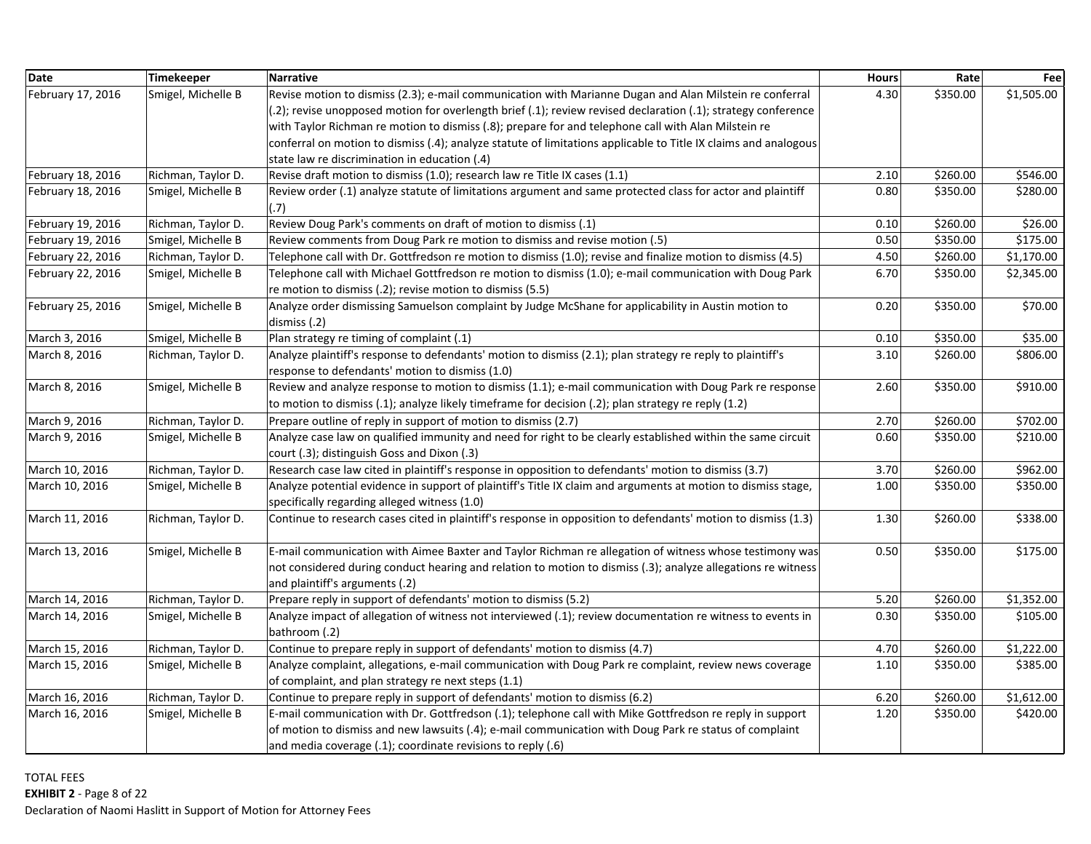| <b>Date</b>       | <b>Timekeeper</b>  | <b>Narrative</b>                                                                                                                                                     | <b>Hours</b> | Rate     | Fee        |
|-------------------|--------------------|----------------------------------------------------------------------------------------------------------------------------------------------------------------------|--------------|----------|------------|
| February 17, 2016 | Smigel, Michelle B | Revise motion to dismiss (2.3); e-mail communication with Marianne Dugan and Alan Milstein re conferral                                                              | 4.30         | \$350.00 | \$1,505.00 |
|                   |                    | (.2); revise unopposed motion for overlength brief (.1); review revised declaration (.1); strategy conference                                                        |              |          |            |
|                   |                    | with Taylor Richman re motion to dismiss (.8); prepare for and telephone call with Alan Milstein re                                                                  |              |          |            |
|                   |                    | conferral on motion to dismiss (.4); analyze statute of limitations applicable to Title IX claims and analogous                                                      |              |          |            |
|                   |                    | state law re discrimination in education (.4)                                                                                                                        |              |          |            |
| February 18, 2016 | Richman, Taylor D. | Revise draft motion to dismiss (1.0); research law re Title IX cases (1.1)                                                                                           | 2.10         | \$260.00 | \$546.00   |
| February 18, 2016 | Smigel, Michelle B | Review order (.1) analyze statute of limitations argument and same protected class for actor and plaintiff<br>(.7)                                                   | 0.80         | \$350.00 | \$280.00   |
| February 19, 2016 | Richman, Taylor D. | Review Doug Park's comments on draft of motion to dismiss (.1)                                                                                                       | 0.10         | \$260.00 | \$26.00    |
| February 19, 2016 | Smigel, Michelle B | Review comments from Doug Park re motion to dismiss and revise motion (.5)                                                                                           | 0.50         | \$350.00 | \$175.00   |
| February 22, 2016 | Richman, Taylor D. | Telephone call with Dr. Gottfredson re motion to dismiss (1.0); revise and finalize motion to dismiss (4.5)                                                          | 4.50         | \$260.00 | \$1,170.00 |
| February 22, 2016 | Smigel, Michelle B | Telephone call with Michael Gottfredson re motion to dismiss (1.0); e-mail communication with Doug Park<br>re motion to dismiss (.2); revise motion to dismiss (5.5) | 6.70         | \$350.00 | \$2,345.00 |
| February 25, 2016 | Smigel, Michelle B | Analyze order dismissing Samuelson complaint by Judge McShane for applicability in Austin motion to<br>dismiss (.2)                                                  | 0.20         | \$350.00 | \$70.00    |
| March 3, 2016     | Smigel, Michelle B | Plan strategy re timing of complaint (.1)                                                                                                                            | 0.10         | \$350.00 | \$35.00    |
| March 8, 2016     | Richman, Taylor D. | Analyze plaintiff's response to defendants' motion to dismiss (2.1); plan strategy re reply to plaintiff's                                                           | 3.10         | \$260.00 | \$806.00   |
|                   |                    | response to defendants' motion to dismiss (1.0)                                                                                                                      |              |          |            |
| March 8, 2016     | Smigel, Michelle B | Review and analyze response to motion to dismiss (1.1); e-mail communication with Doug Park re response                                                              | 2.60         | \$350.00 | \$910.00   |
|                   |                    | to motion to dismiss (.1); analyze likely timeframe for decision (.2); plan strategy re reply (1.2)                                                                  |              |          |            |
| March 9, 2016     | Richman, Taylor D. | Prepare outline of reply in support of motion to dismiss (2.7)                                                                                                       | 2.70         | \$260.00 | \$702.00   |
| March 9, 2016     | Smigel, Michelle B | Analyze case law on qualified immunity and need for right to be clearly established within the same circuit                                                          | 0.60         | \$350.00 | \$210.00   |
|                   |                    | court (.3); distinguish Goss and Dixon (.3)                                                                                                                          |              |          |            |
| March 10, 2016    | Richman, Taylor D. | Research case law cited in plaintiff's response in opposition to defendants' motion to dismiss (3.7)                                                                 | 3.70         | \$260.00 | \$962.00   |
| March 10, 2016    | Smigel, Michelle B | Analyze potential evidence in support of plaintiff's Title IX claim and arguments at motion to dismiss stage,<br>specifically regarding alleged witness (1.0)        | 1.00         | \$350.00 | \$350.00   |
| March 11, 2016    | Richman, Taylor D. | Continue to research cases cited in plaintiff's response in opposition to defendants' motion to dismiss (1.3)                                                        | 1.30         | \$260.00 | \$338.00   |
| March 13, 2016    | Smigel, Michelle B | E-mail communication with Aimee Baxter and Taylor Richman re allegation of witness whose testimony was                                                               | 0.50         | \$350.00 | \$175.00   |
|                   |                    | not considered during conduct hearing and relation to motion to dismiss (.3); analyze allegations re witness<br>and plaintiff's arguments (.2)                       |              |          |            |
| March 14, 2016    | Richman, Taylor D. | Prepare reply in support of defendants' motion to dismiss (5.2)                                                                                                      | 5.20         | \$260.00 | \$1,352.00 |
| March 14, 2016    | Smigel, Michelle B | Analyze impact of allegation of witness not interviewed (.1); review documentation re witness to events in<br>bathroom (.2)                                          | 0.30         | \$350.00 | \$105.00   |
| March 15, 2016    | Richman, Taylor D. | Continue to prepare reply in support of defendants' motion to dismiss (4.7)                                                                                          | 4.70         | \$260.00 | \$1,222.00 |
| March 15, 2016    | Smigel, Michelle B | Analyze complaint, allegations, e-mail communication with Doug Park re complaint, review news coverage                                                               | 1.10         | \$350.00 | \$385.00   |
|                   |                    | of complaint, and plan strategy re next steps (1.1)                                                                                                                  |              |          |            |
| March 16, 2016    | Richman, Taylor D. | Continue to prepare reply in support of defendants' motion to dismiss (6.2)                                                                                          | 6.20         | \$260.00 | \$1,612.00 |
| March 16, 2016    | Smigel, Michelle B | E-mail communication with Dr. Gottfredson (.1); telephone call with Mike Gottfredson re reply in support                                                             | 1.20         | \$350.00 | \$420.00   |
|                   |                    | of motion to dismiss and new lawsuits (.4); e-mail communication with Doug Park re status of complaint                                                               |              |          |            |
|                   |                    | and media coverage (.1); coordinate revisions to reply (.6)                                                                                                          |              |          |            |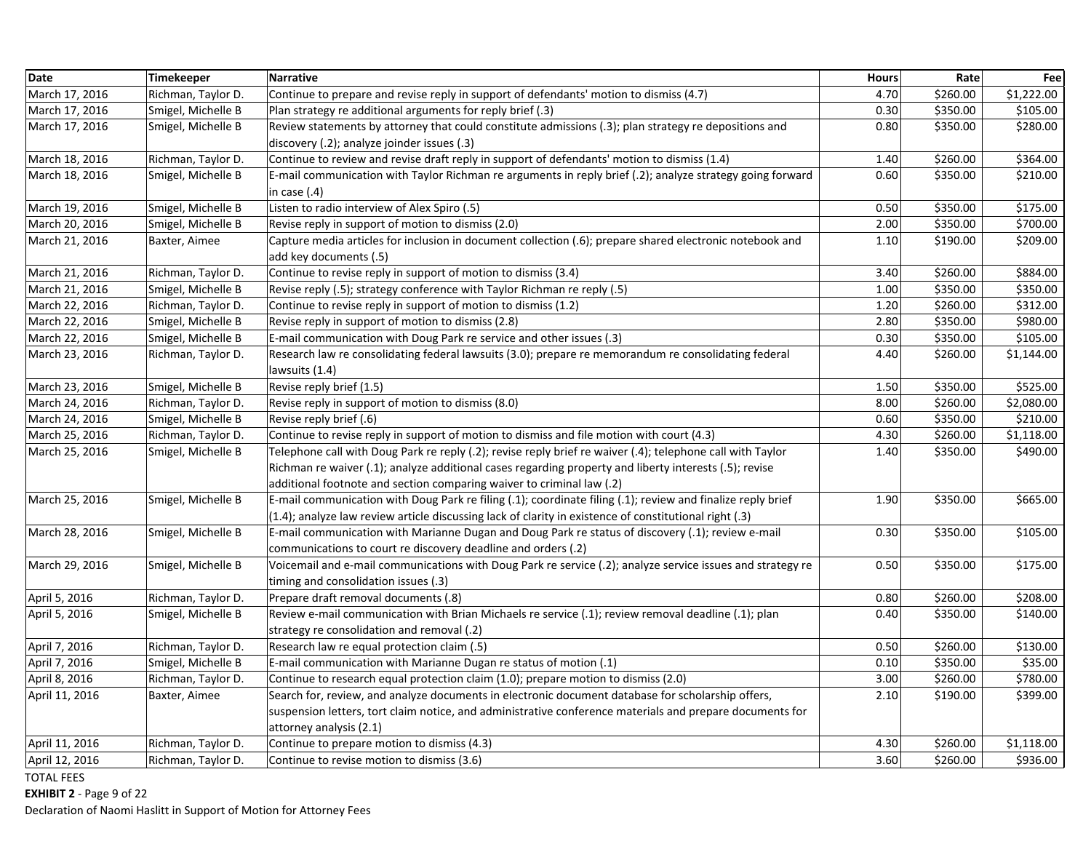| <b>Date</b>    | <b>Timekeeper</b>  | <b>Narrative</b>                                                                                            | <b>Hours</b> | Rate     | Fee        |
|----------------|--------------------|-------------------------------------------------------------------------------------------------------------|--------------|----------|------------|
| March 17, 2016 | Richman, Taylor D. | Continue to prepare and revise reply in support of defendants' motion to dismiss (4.7)                      | 4.70         | \$260.00 | \$1,222.00 |
| March 17, 2016 | Smigel, Michelle B | Plan strategy re additional arguments for reply brief (.3)                                                  | 0.30         | \$350.00 | \$105.00   |
| March 17, 2016 | Smigel, Michelle B | Review statements by attorney that could constitute admissions (.3); plan strategy re depositions and       | 0.80         | \$350.00 | \$280.00   |
|                |                    | discovery (.2); analyze joinder issues (.3)                                                                 |              |          |            |
| March 18, 2016 | Richman, Taylor D. | Continue to review and revise draft reply in support of defendants' motion to dismiss (1.4)                 | 1.40         | \$260.00 | \$364.00   |
| March 18, 2016 | Smigel, Michelle B | E-mail communication with Taylor Richman re arguments in reply brief (.2); analyze strategy going forward   | 0.60         | \$350.00 | \$210.00   |
|                |                    | in case $(.4)$                                                                                              |              |          |            |
| March 19, 2016 | Smigel, Michelle B | Listen to radio interview of Alex Spiro (.5)                                                                | 0.50         | \$350.00 | \$175.00   |
| March 20, 2016 | Smigel, Michelle B | Revise reply in support of motion to dismiss (2.0)                                                          | 2.00         | \$350.00 | \$700.00   |
| March 21, 2016 | Baxter, Aimee      | Capture media articles for inclusion in document collection (.6); prepare shared electronic notebook and    | 1.10         | \$190.00 | \$209.00   |
|                |                    | add key documents (.5)                                                                                      |              |          |            |
| March 21, 2016 | Richman, Taylor D. | Continue to revise reply in support of motion to dismiss (3.4)                                              | 3.40         | \$260.00 | \$884.00   |
| March 21, 2016 | Smigel, Michelle B | Revise reply (.5); strategy conference with Taylor Richman re reply (.5)                                    | 1.00         | \$350.00 | \$350.00   |
| March 22, 2016 | Richman, Taylor D. | Continue to revise reply in support of motion to dismiss (1.2)                                              | 1.20         | \$260.00 | \$312.00   |
| March 22, 2016 | Smigel, Michelle B | Revise reply in support of motion to dismiss (2.8)                                                          | 2.80         | \$350.00 | \$980.00   |
| March 22, 2016 | Smigel, Michelle B | E-mail communication with Doug Park re service and other issues (.3)                                        | 0.30         | \$350.00 | \$105.00   |
| March 23, 2016 | Richman, Taylor D. | Research law re consolidating federal lawsuits (3.0); prepare re memorandum re consolidating federal        | 4.40         | \$260.00 | \$1,144.00 |
|                |                    | lawsuits (1.4)                                                                                              |              |          |            |
| March 23, 2016 | Smigel, Michelle B | Revise reply brief (1.5)                                                                                    | 1.50         | \$350.00 | \$525.00   |
| March 24, 2016 | Richman, Taylor D. | Revise reply in support of motion to dismiss (8.0)                                                          | 8.00         | \$260.00 | \$2,080.00 |
| March 24, 2016 | Smigel, Michelle B | Revise reply brief (.6)                                                                                     | 0.60         | \$350.00 | \$210.00   |
| March 25, 2016 | Richman, Taylor D. | Continue to revise reply in support of motion to dismiss and file motion with court (4.3)                   | 4.30         | \$260.00 | \$1,118.00 |
| March 25, 2016 | Smigel, Michelle B | Telephone call with Doug Park re reply (.2); revise reply brief re waiver (.4); telephone call with Taylor  | 1.40         | \$350.00 | \$490.00   |
|                |                    | Richman re waiver (.1); analyze additional cases regarding property and liberty interests (.5); revise      |              |          |            |
|                |                    | additional footnote and section comparing waiver to criminal law (.2)                                       |              |          |            |
| March 25, 2016 | Smigel, Michelle B | E-mail communication with Doug Park re filing (.1); coordinate filing (.1); review and finalize reply brief | 1.90         | \$350.00 | \$665.00   |
|                |                    | (1.4); analyze law review article discussing lack of clarity in existence of constitutional right (.3)      |              |          |            |
| March 28, 2016 | Smigel, Michelle B | E-mail communication with Marianne Dugan and Doug Park re status of discovery (.1); review e-mail           | 0.30         | \$350.00 | \$105.00   |
|                |                    | communications to court re discovery deadline and orders (.2)                                               |              |          |            |
| March 29, 2016 | Smigel, Michelle B | Voicemail and e-mail communications with Doug Park re service (.2); analyze service issues and strategy re  | 0.50         | \$350.00 | \$175.00   |
|                |                    | timing and consolidation issues (.3)                                                                        |              |          |            |
| April 5, 2016  | Richman, Taylor D. | Prepare draft removal documents (.8)                                                                        | 0.80         | \$260.00 | \$208.00   |
| April 5, 2016  | Smigel, Michelle B | Review e-mail communication with Brian Michaels re service (.1); review removal deadline (.1); plan         | 0.40         | \$350.00 | \$140.00   |
|                |                    | strategy re consolidation and removal (.2)                                                                  |              |          |            |
| April 7, 2016  | Richman, Taylor D. | Research law re equal protection claim (.5)                                                                 | 0.50         | \$260.00 | \$130.00   |
| April 7, 2016  | Smigel, Michelle B | E-mail communication with Marianne Dugan re status of motion (.1)                                           | 0.10         | \$350.00 | \$35.00    |
| April 8, 2016  | Richman, Taylor D. | Continue to research equal protection claim (1.0); prepare motion to dismiss (2.0)                          | 3.00         | \$260.00 | \$780.00   |
| April 11, 2016 | Baxter, Aimee      | Search for, review, and analyze documents in electronic document database for scholarship offers,           | 2.10         | \$190.00 | \$399.00   |
|                |                    | suspension letters, tort claim notice, and administrative conference materials and prepare documents for    |              |          |            |
|                |                    | attorney analysis (2.1)                                                                                     |              |          |            |
| April 11, 2016 | Richman, Taylor D. | Continue to prepare motion to dismiss (4.3)                                                                 | 4.30         | \$260.00 | \$1,118.00 |
| April 12, 2016 | Richman, Taylor D. | Continue to revise motion to dismiss (3.6)                                                                  | 3.60         | \$260.00 | \$936.00   |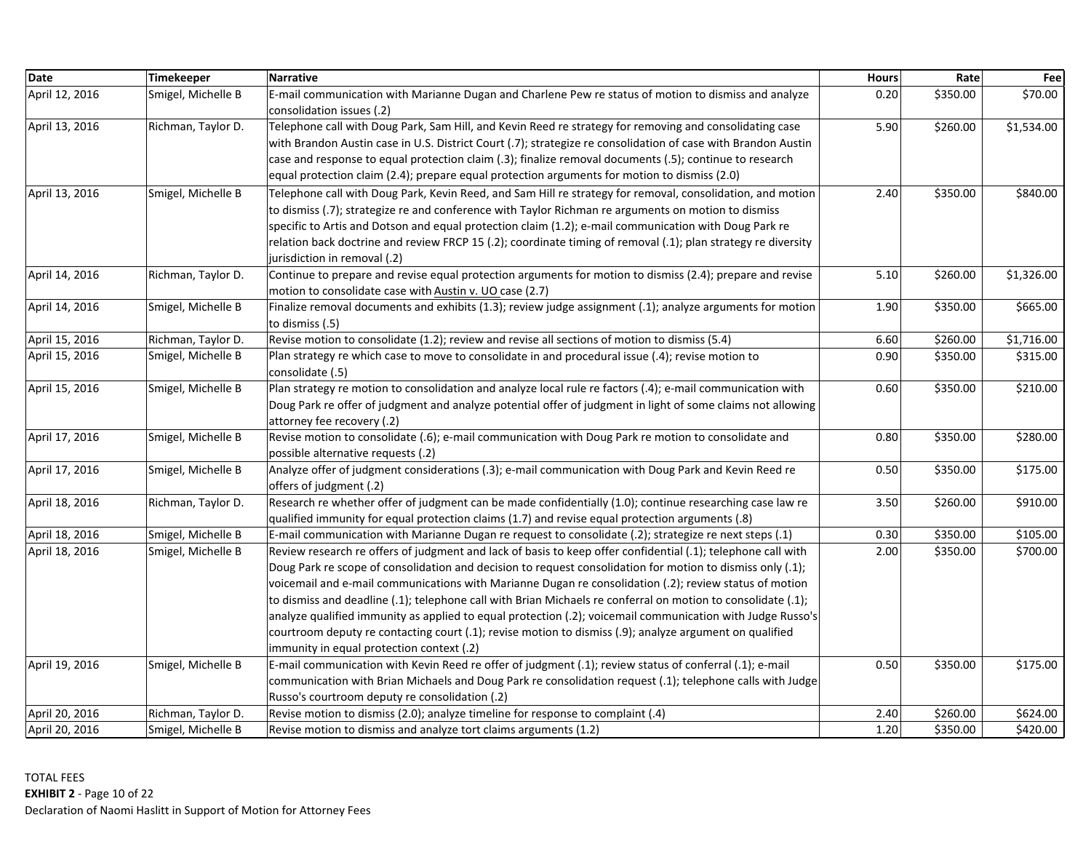| Date           | Timekeeper         | Narrative                                                                                                                                                                                                                                                                                                                                                                                                                                                                                                                                                                                                                                                                                                                  | <b>Hours</b> | Rate     | Fee        |
|----------------|--------------------|----------------------------------------------------------------------------------------------------------------------------------------------------------------------------------------------------------------------------------------------------------------------------------------------------------------------------------------------------------------------------------------------------------------------------------------------------------------------------------------------------------------------------------------------------------------------------------------------------------------------------------------------------------------------------------------------------------------------------|--------------|----------|------------|
| April 12, 2016 | Smigel, Michelle B | E-mail communication with Marianne Dugan and Charlene Pew re status of motion to dismiss and analyze<br>consolidation issues (.2)                                                                                                                                                                                                                                                                                                                                                                                                                                                                                                                                                                                          | 0.20         | \$350.00 | \$70.00    |
| April 13, 2016 | Richman, Taylor D. | Telephone call with Doug Park, Sam Hill, and Kevin Reed re strategy for removing and consolidating case<br>with Brandon Austin case in U.S. District Court (.7); strategize re consolidation of case with Brandon Austin<br>case and response to equal protection claim (.3); finalize removal documents (.5); continue to research<br>equal protection claim (2.4); prepare equal protection arguments for motion to dismiss (2.0)                                                                                                                                                                                                                                                                                        | 5.90         | \$260.00 | \$1,534.00 |
| April 13, 2016 | Smigel, Michelle B | Telephone call with Doug Park, Kevin Reed, and Sam Hill re strategy for removal, consolidation, and motion<br>to dismiss (.7); strategize re and conference with Taylor Richman re arguments on motion to dismiss<br>specific to Artis and Dotson and equal protection claim (1.2); e-mail communication with Doug Park re<br>relation back doctrine and review FRCP 15 (.2); coordinate timing of removal (.1); plan strategy re diversity<br>jurisdiction in removal (.2)                                                                                                                                                                                                                                                | 2.40         | \$350.00 | \$840.00   |
| April 14, 2016 | Richman, Taylor D. | Continue to prepare and revise equal protection arguments for motion to dismiss (2.4); prepare and revise<br>motion to consolidate case with Austin v. UO case (2.7)                                                                                                                                                                                                                                                                                                                                                                                                                                                                                                                                                       | 5.10         | \$260.00 | \$1,326.00 |
| April 14, 2016 | Smigel, Michelle B | Finalize removal documents and exhibits (1.3); review judge assignment (.1); analyze arguments for motion<br>to dismiss (.5)                                                                                                                                                                                                                                                                                                                                                                                                                                                                                                                                                                                               | 1.90         | \$350.00 | \$665.00   |
| April 15, 2016 | Richman, Taylor D. | Revise motion to consolidate (1.2); review and revise all sections of motion to dismiss (5.4)                                                                                                                                                                                                                                                                                                                                                                                                                                                                                                                                                                                                                              | 6.60         | \$260.00 | \$1,716.00 |
| April 15, 2016 | Smigel, Michelle B | Plan strategy re which case to move to consolidate in and procedural issue (.4); revise motion to<br>consolidate (.5)                                                                                                                                                                                                                                                                                                                                                                                                                                                                                                                                                                                                      | 0.90         | \$350.00 | \$315.00   |
| April 15, 2016 | Smigel, Michelle B | Plan strategy re motion to consolidation and analyze local rule re factors (.4); e-mail communication with<br>Doug Park re offer of judgment and analyze potential offer of judgment in light of some claims not allowing<br>attorney fee recovery (.2)                                                                                                                                                                                                                                                                                                                                                                                                                                                                    | 0.60         | \$350.00 | \$210.00   |
| April 17, 2016 | Smigel, Michelle B | Revise motion to consolidate (.6); e-mail communication with Doug Park re motion to consolidate and<br>possible alternative requests (.2)                                                                                                                                                                                                                                                                                                                                                                                                                                                                                                                                                                                  | 0.80         | \$350.00 | \$280.00   |
| April 17, 2016 | Smigel, Michelle B | Analyze offer of judgment considerations (.3); e-mail communication with Doug Park and Kevin Reed re<br>offers of judgment (.2)                                                                                                                                                                                                                                                                                                                                                                                                                                                                                                                                                                                            | 0.50         | \$350.00 | \$175.00   |
| April 18, 2016 | Richman, Taylor D. | Research re whether offer of judgment can be made confidentially (1.0); continue researching case law re<br>qualified immunity for equal protection claims (1.7) and revise equal protection arguments (.8)                                                                                                                                                                                                                                                                                                                                                                                                                                                                                                                | 3.50         | \$260.00 | \$910.00   |
| April 18, 2016 | Smigel, Michelle B | E-mail communication with Marianne Dugan re request to consolidate (.2); strategize re next steps (.1)                                                                                                                                                                                                                                                                                                                                                                                                                                                                                                                                                                                                                     | 0.30         | \$350.00 | \$105.00   |
| April 18, 2016 | Smigel, Michelle B | Review research re offers of judgment and lack of basis to keep offer confidential (.1); telephone call with<br>Doug Park re scope of consolidation and decision to request consolidation for motion to dismiss only (.1);<br>voicemail and e-mail communications with Marianne Dugan re consolidation (.2); review status of motion<br>to dismiss and deadline (.1); telephone call with Brian Michaels re conferral on motion to consolidate (.1);<br>analyze qualified immunity as applied to equal protection (.2); voicemail communication with Judge Russo's<br>courtroom deputy re contacting court (.1); revise motion to dismiss (.9); analyze argument on qualified<br>immunity in equal protection context (.2) | 2.00         | \$350.00 | \$700.00   |
| April 19, 2016 | Smigel, Michelle B | E-mail communication with Kevin Reed re offer of judgment (.1); review status of conferral (.1); e-mail<br>communication with Brian Michaels and Doug Park re consolidation request (.1); telephone calls with Judge<br>Russo's courtroom deputy re consolidation (.2)                                                                                                                                                                                                                                                                                                                                                                                                                                                     | 0.50         | \$350.00 | \$175.00   |
| April 20, 2016 | Richman, Taylor D. | Revise motion to dismiss (2.0); analyze timeline for response to complaint (.4)                                                                                                                                                                                                                                                                                                                                                                                                                                                                                                                                                                                                                                            | 2.40         | \$260.00 | \$624.00   |
| April 20, 2016 | Smigel, Michelle B | Revise motion to dismiss and analyze tort claims arguments (1.2)                                                                                                                                                                                                                                                                                                                                                                                                                                                                                                                                                                                                                                                           | 1.20         | \$350.00 | \$420.00   |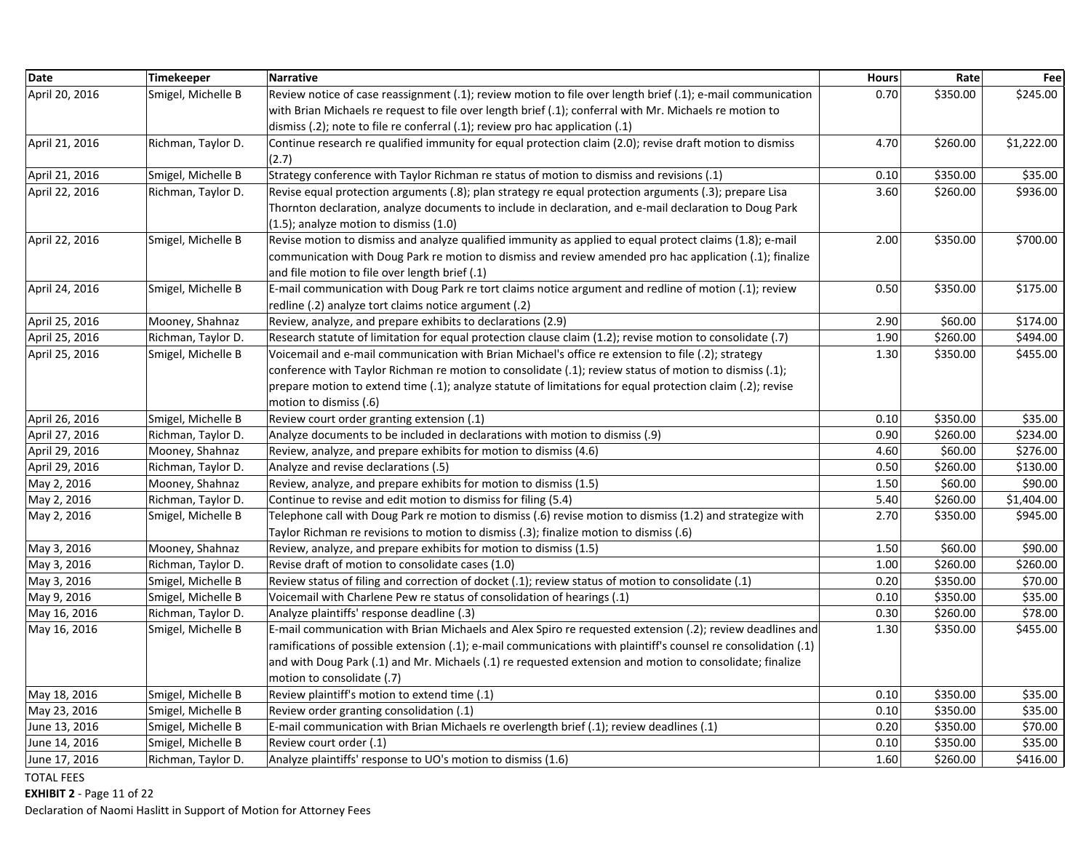| <b>Date</b>    | Timekeeper         | <b>Narrative</b>                                                                                                  | <b>Hours</b> | Rate     | Fee        |
|----------------|--------------------|-------------------------------------------------------------------------------------------------------------------|--------------|----------|------------|
| April 20, 2016 | Smigel, Michelle B | Review notice of case reassignment $(.1)$ ; review motion to file over length brief $(.1)$ ; e-mail communication | 0.70         | \$350.00 | \$245.00   |
|                |                    | with Brian Michaels re request to file over length brief (.1); conferral with Mr. Michaels re motion to           |              |          |            |
|                |                    | dismiss $(.2)$ ; note to file re conferral $(.1)$ ; review pro hac application $(.1)$                             |              |          |            |
| April 21, 2016 | Richman, Taylor D. | Continue research re qualified immunity for equal protection claim (2.0); revise draft motion to dismiss          | 4.70         | \$260.00 | \$1,222.00 |
|                |                    | (2.7)                                                                                                             |              |          |            |
| April 21, 2016 | Smigel, Michelle B | Strategy conference with Taylor Richman re status of motion to dismiss and revisions (.1)                         | 0.10         | \$350.00 | \$35.00    |
| April 22, 2016 | Richman, Taylor D. | Revise equal protection arguments (.8); plan strategy re equal protection arguments (.3); prepare Lisa            | 3.60         | \$260.00 | \$936.00   |
|                |                    | Thornton declaration, analyze documents to include in declaration, and e-mail declaration to Doug Park            |              |          |            |
|                |                    | (1.5); analyze motion to dismiss (1.0)                                                                            |              |          |            |
| April 22, 2016 | Smigel, Michelle B | Revise motion to dismiss and analyze qualified immunity as applied to equal protect claims (1.8); e-mail          | 2.00         | \$350.00 | \$700.00   |
|                |                    | communication with Doug Park re motion to dismiss and review amended pro hac application (.1); finalize           |              |          |            |
|                |                    | and file motion to file over length brief (.1)                                                                    |              |          |            |
| April 24, 2016 | Smigel, Michelle B | E-mail communication with Doug Park re tort claims notice argument and redline of motion (.1); review             | 0.50         | \$350.00 | \$175.00   |
|                |                    | redline (.2) analyze tort claims notice argument (.2)                                                             |              |          |            |
| April 25, 2016 | Mooney, Shahnaz    | Review, analyze, and prepare exhibits to declarations (2.9)                                                       | 2.90         | \$60.00  | \$174.00   |
| April 25, 2016 | Richman, Taylor D. | Research statute of limitation for equal protection clause claim (1.2); revise motion to consolidate (.7)         | 1.90         | \$260.00 | \$494.00   |
| April 25, 2016 | Smigel, Michelle B | Voicemail and e-mail communication with Brian Michael's office re extension to file (.2); strategy                | 1.30         | \$350.00 | \$455.00   |
|                |                    | conference with Taylor Richman re motion to consolidate (.1); review status of motion to dismiss (.1);            |              |          |            |
|                |                    | prepare motion to extend time (.1); analyze statute of limitations for equal protection claim (.2); revise        |              |          |            |
|                |                    | motion to dismiss (.6)                                                                                            |              |          |            |
| April 26, 2016 | Smigel, Michelle B | Review court order granting extension (.1)                                                                        | 0.10         | \$350.00 | \$35.00    |
| April 27, 2016 | Richman, Taylor D. | Analyze documents to be included in declarations with motion to dismiss (.9)                                      | 0.90         | \$260.00 | \$234.00   |
| April 29, 2016 | Mooney, Shahnaz    | Review, analyze, and prepare exhibits for motion to dismiss (4.6)                                                 | 4.60         | \$60.00  | \$276.00   |
| April 29, 2016 | Richman, Taylor D. | Analyze and revise declarations (.5)                                                                              | 0.50         | \$260.00 | \$130.00   |
| May 2, 2016    | Mooney, Shahnaz    | Review, analyze, and prepare exhibits for motion to dismiss (1.5)                                                 | 1.50         | \$60.00  | \$90.00    |
| May 2, 2016    | Richman, Taylor D. | Continue to revise and edit motion to dismiss for filing (5.4)                                                    | 5.40         | \$260.00 | \$1,404.00 |
| May 2, 2016    | Smigel, Michelle B | Telephone call with Doug Park re motion to dismiss (.6) revise motion to dismiss (1.2) and strategize with        | 2.70         | \$350.00 | \$945.00   |
|                |                    | Taylor Richman re revisions to motion to dismiss (.3); finalize motion to dismiss (.6)                            |              |          |            |
| May 3, 2016    | Mooney, Shahnaz    | Review, analyze, and prepare exhibits for motion to dismiss (1.5)                                                 | 1.50         | \$60.00  | \$90.00    |
| May 3, 2016    | Richman, Taylor D. | Revise draft of motion to consolidate cases (1.0)                                                                 | 1.00         | \$260.00 | \$260.00   |
| May 3, 2016    | Smigel, Michelle B | Review status of filing and correction of docket (.1); review status of motion to consolidate (.1)                | 0.20         | \$350.00 | \$70.00    |
| May 9, 2016    | Smigel, Michelle B | Voicemail with Charlene Pew re status of consolidation of hearings (.1)                                           | 0.10         | \$350.00 | \$35.00    |
| May 16, 2016   | Richman, Taylor D. | Analyze plaintiffs' response deadline (.3)                                                                        | 0.30         | \$260.00 | \$78.00    |
| May 16, 2016   | Smigel, Michelle B | E-mail communication with Brian Michaels and Alex Spiro re requested extension (.2); review deadlines and         | 1.30         | \$350.00 | \$455.00   |
|                |                    | ramifications of possible extension (.1); e-mail communications with plaintiff's counsel re consolidation (.1)    |              |          |            |
|                |                    | and with Doug Park (.1) and Mr. Michaels (.1) re requested extension and motion to consolidate; finalize          |              |          |            |
|                |                    | motion to consolidate (.7)                                                                                        |              |          |            |
| May 18, 2016   | Smigel, Michelle B | Review plaintiff's motion to extend time (.1)                                                                     | 0.10         | \$350.00 | \$35.00    |
| May 23, 2016   | Smigel, Michelle B | Review order granting consolidation (.1)                                                                          | 0.10         | \$350.00 | \$35.00    |
| June 13, 2016  | Smigel, Michelle B | E-mail communication with Brian Michaels re overlength brief (.1); review deadlines (.1)                          | 0.20         | \$350.00 | \$70.00    |
| June 14, 2016  | Smigel, Michelle B | Review court order (.1)                                                                                           | 0.10         | \$350.00 | \$35.00    |
| June 17, 2016  | Richman, Taylor D. | Analyze plaintiffs' response to UO's motion to dismiss (1.6)                                                      | 1.60         | \$260.00 | \$416.00   |

**EXHIBIT 2** ‐ Page 11 of 22

Declaration of Naomi Haslitt in Support of Motion for Attorney Fees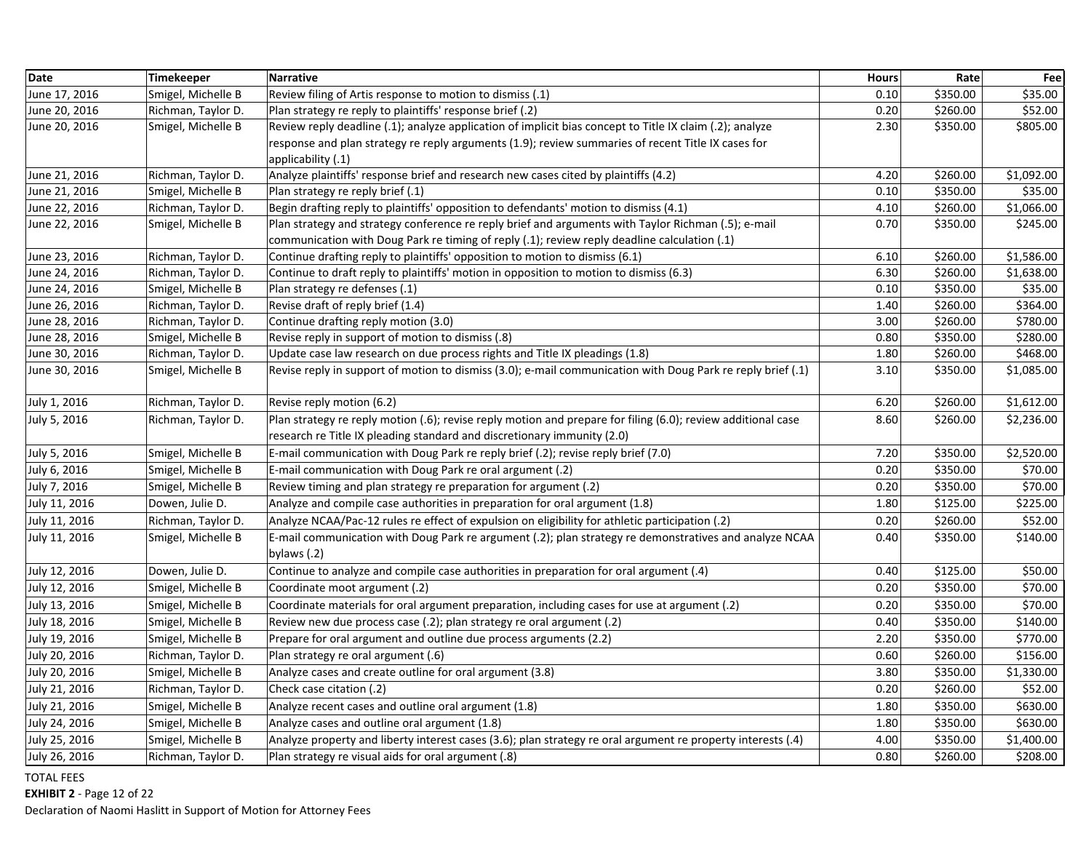| <b>Date</b>   | <b>Timekeeper</b>  | <b>Narrative</b>                                                                                                      | <b>Hours</b> | Rate     | Fee        |
|---------------|--------------------|-----------------------------------------------------------------------------------------------------------------------|--------------|----------|------------|
| June 17, 2016 | Smigel, Michelle B | Review filing of Artis response to motion to dismiss (.1)                                                             | 0.10         | \$350.00 | \$35.00    |
| June 20, 2016 | Richman, Taylor D. | Plan strategy re reply to plaintiffs' response brief (.2)                                                             | 0.20         | \$260.00 | \$52.00    |
| June 20, 2016 | Smigel, Michelle B | Review reply deadline (.1); analyze application of implicit bias concept to Title IX claim (.2); analyze              | 2.30         | \$350.00 | \$805.00   |
|               |                    | response and plan strategy re reply arguments (1.9); review summaries of recent Title IX cases for                    |              |          |            |
|               |                    | applicability (.1)                                                                                                    |              |          |            |
| June 21, 2016 | Richman, Taylor D. | Analyze plaintiffs' response brief and research new cases cited by plaintiffs (4.2)                                   | 4.20         | \$260.00 | \$1,092.00 |
| June 21, 2016 | Smigel, Michelle B | Plan strategy re reply brief (.1)                                                                                     | 0.10         | \$350.00 | \$35.00    |
| June 22, 2016 | Richman, Taylor D. | Begin drafting reply to plaintiffs' opposition to defendants' motion to dismiss (4.1)                                 | 4.10         | \$260.00 | \$1,066.00 |
| June 22, 2016 | Smigel, Michelle B | Plan strategy and strategy conference re reply brief and arguments with Taylor Richman (.5); e-mail                   | 0.70         | \$350.00 | \$245.00   |
|               |                    | communication with Doug Park re timing of reply (.1); review reply deadline calculation (.1)                          |              |          |            |
| June 23, 2016 | Richman, Taylor D. | Continue drafting reply to plaintiffs' opposition to motion to dismiss (6.1)                                          | 6.10         | \$260.00 | \$1,586.00 |
| June 24, 2016 | Richman, Taylor D. | Continue to draft reply to plaintiffs' motion in opposition to motion to dismiss (6.3)                                | 6.30         | \$260.00 | \$1,638.00 |
| June 24, 2016 | Smigel, Michelle B | Plan strategy re defenses (.1)                                                                                        | 0.10         | \$350.00 | \$35.00    |
| June 26, 2016 | Richman, Taylor D. | Revise draft of reply brief (1.4)                                                                                     | 1.40         | \$260.00 | \$364.00   |
| June 28, 2016 | Richman, Taylor D. | Continue drafting reply motion (3.0)                                                                                  | 3.00         | \$260.00 | \$780.00   |
| June 28, 2016 | Smigel, Michelle B | Revise reply in support of motion to dismiss (.8)                                                                     | 0.80         | \$350.00 | \$280.00   |
| June 30, 2016 | Richman, Taylor D. | Update case law research on due process rights and Title IX pleadings (1.8)                                           | 1.80         | \$260.00 | \$468.00   |
| June 30, 2016 | Smigel, Michelle B | Revise reply in support of motion to dismiss (3.0); e-mail communication with Doug Park re reply brief (.1)           | 3.10         | \$350.00 | \$1,085.00 |
| July 1, 2016  | Richman, Taylor D. | Revise reply motion (6.2)                                                                                             | 6.20         | \$260.00 | \$1,612.00 |
| July 5, 2016  | Richman, Taylor D. | Plan strategy re reply motion (.6); revise reply motion and prepare for filing (6.0); review additional case          | 8.60         | \$260.00 | \$2,236.00 |
|               |                    | research re Title IX pleading standard and discretionary immunity (2.0)                                               |              |          |            |
| July 5, 2016  | Smigel, Michelle B | E-mail communication with Doug Park re reply brief (.2); revise reply brief (7.0)                                     | 7.20         | \$350.00 | \$2,520.00 |
| July 6, 2016  | Smigel, Michelle B | E-mail communication with Doug Park re oral argument (.2)                                                             | 0.20         | \$350.00 | \$70.00    |
| July 7, 2016  | Smigel, Michelle B | Review timing and plan strategy re preparation for argument (.2)                                                      | 0.20         | \$350.00 | \$70.00    |
| July 11, 2016 | Dowen, Julie D.    | Analyze and compile case authorities in preparation for oral argument (1.8)                                           | 1.80         | \$125.00 | \$225.00   |
| July 11, 2016 | Richman, Taylor D. | Analyze NCAA/Pac-12 rules re effect of expulsion on eligibility for athletic participation (.2)                       | 0.20         | \$260.00 | \$52.00    |
| July 11, 2016 | Smigel, Michelle B | E-mail communication with Doug Park re argument (.2); plan strategy re demonstratives and analyze NCAA<br>bylaws (.2) | 0.40         | \$350.00 | \$140.00   |
| July 12, 2016 | Dowen, Julie D.    | Continue to analyze and compile case authorities in preparation for oral argument (.4)                                | 0.40         | \$125.00 | \$50.00    |
| July 12, 2016 | Smigel, Michelle B | Coordinate moot argument (.2)                                                                                         | 0.20         | \$350.00 | \$70.00    |
| July 13, 2016 | Smigel, Michelle B | Coordinate materials for oral argument preparation, including cases for use at argument (.2)                          | 0.20         | \$350.00 | \$70.00    |
| July 18, 2016 | Smigel, Michelle B | Review new due process case (.2); plan strategy re oral argument (.2)                                                 | 0.40         | \$350.00 | \$140.00   |
|               |                    |                                                                                                                       | 2.20         | \$350.00 | \$770.00   |
| July 19, 2016 | Smigel, Michelle B | Prepare for oral argument and outline due process arguments (2.2)                                                     | 0.60         | \$260.00 | \$156.00   |
| July 20, 2016 | Richman, Taylor D. | Plan strategy re oral argument (.6)                                                                                   |              |          |            |
| July 20, 2016 | Smigel, Michelle B | Analyze cases and create outline for oral argument (3.8)                                                              | 3.80         | \$350.00 | \$1,330.00 |
| July 21, 2016 | Richman, Taylor D. | Check case citation (.2)                                                                                              | 0.20         | \$260.00 | \$52.00    |
| July 21, 2016 | Smigel, Michelle B | Analyze recent cases and outline oral argument (1.8)                                                                  | 1.80         | \$350.00 | \$630.00   |
| July 24, 2016 | Smigel, Michelle B | Analyze cases and outline oral argument (1.8)                                                                         | 1.80         | \$350.00 | \$630.00   |
| July 25, 2016 | Smigel, Michelle B | Analyze property and liberty interest cases (3.6); plan strategy re oral argument re property interests (.4)          | 4.00         | \$350.00 | \$1,400.00 |
| July 26, 2016 | Richman, Taylor D. | Plan strategy re visual aids for oral argument (.8)                                                                   | 0.80         | \$260.00 | \$208.00   |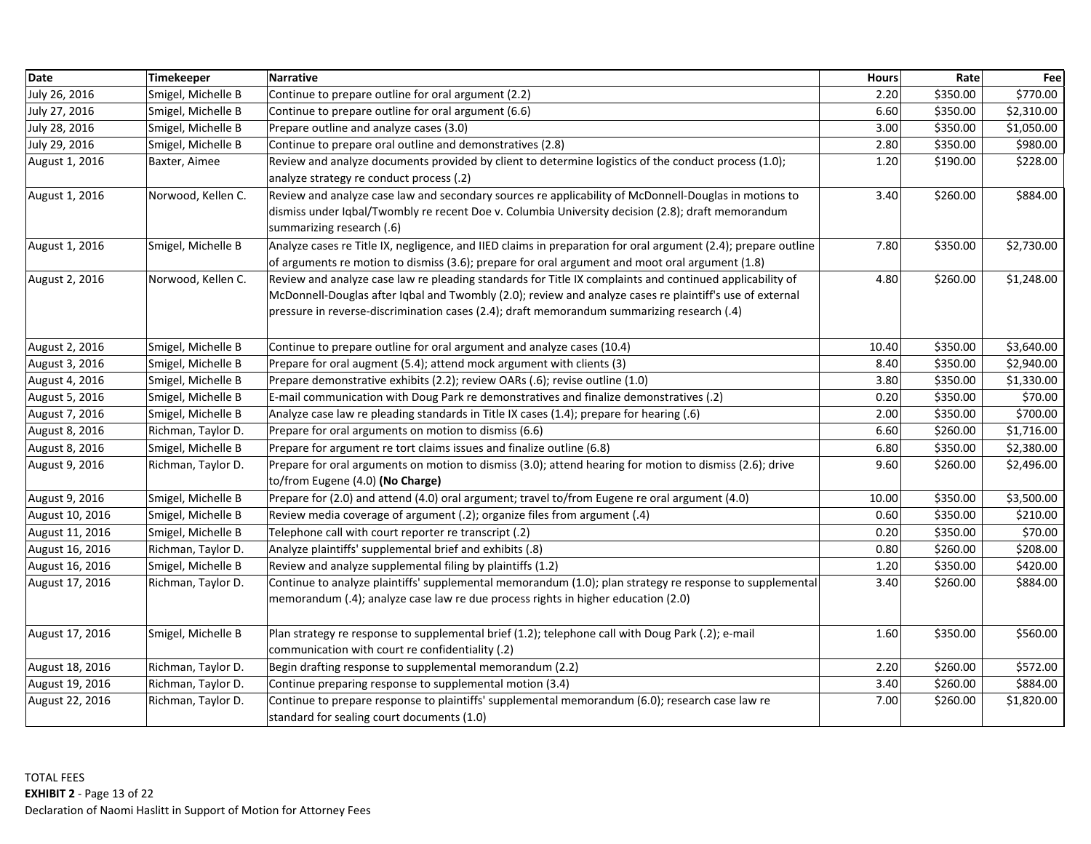| <b>Date</b>     | Timekeeper         | Narrative                                                                                                      | <b>Hours</b> | Rate     | Fee        |
|-----------------|--------------------|----------------------------------------------------------------------------------------------------------------|--------------|----------|------------|
| July 26, 2016   | Smigel, Michelle B | Continue to prepare outline for oral argument (2.2)                                                            | 2.20         | \$350.00 | \$770.00   |
| July 27, 2016   | Smigel, Michelle B | Continue to prepare outline for oral argument (6.6)                                                            | 6.60         | \$350.00 | \$2,310.00 |
| July 28, 2016   | Smigel, Michelle B | Prepare outline and analyze cases (3.0)                                                                        | 3.00         | \$350.00 | \$1,050.00 |
| July 29, 2016   | Smigel, Michelle B | Continue to prepare oral outline and demonstratives (2.8)                                                      | 2.80         | \$350.00 | \$980.00   |
| August 1, 2016  | Baxter, Aimee      | Review and analyze documents provided by client to determine logistics of the conduct process (1.0);           | 1.20         | \$190.00 | \$228.00   |
|                 |                    | analyze strategy re conduct process (.2)                                                                       |              |          |            |
| August 1, 2016  | Norwood, Kellen C. | Review and analyze case law and secondary sources re applicability of McDonnell-Douglas in motions to          | 3.40         | \$260.00 | \$884.00   |
|                 |                    | dismiss under Iqbal/Twombly re recent Doe v. Columbia University decision (2.8); draft memorandum              |              |          |            |
|                 |                    | summarizing research (.6)                                                                                      |              |          |            |
| August 1, 2016  | Smigel, Michelle B | Analyze cases re Title IX, negligence, and IIED claims in preparation for oral argument (2.4); prepare outline | 7.80         | \$350.00 | \$2,730.00 |
|                 |                    | of arguments re motion to dismiss (3.6); prepare for oral argument and moot oral argument (1.8)                |              |          |            |
| August 2, 2016  | Norwood, Kellen C. | Review and analyze case law re pleading standards for Title IX complaints and continued applicability of       | 4.80         | \$260.00 | \$1,248.00 |
|                 |                    | McDonnell-Douglas after Iqbal and Twombly (2.0); review and analyze cases re plaintiff's use of external       |              |          |            |
|                 |                    | pressure in reverse-discrimination cases (2.4); draft memorandum summarizing research (.4)                     |              |          |            |
|                 |                    |                                                                                                                |              |          |            |
| August 2, 2016  | Smigel, Michelle B | Continue to prepare outline for oral argument and analyze cases (10.4)                                         | 10.40        | \$350.00 | \$3,640.00 |
| August 3, 2016  | Smigel, Michelle B | Prepare for oral augment (5.4); attend mock argument with clients (3)                                          | 8.40         | \$350.00 | \$2,940.00 |
| August 4, 2016  | Smigel, Michelle B | Prepare demonstrative exhibits (2.2); review OARs (.6); revise outline (1.0)                                   | 3.80         | \$350.00 | \$1,330.00 |
| August 5, 2016  | Smigel, Michelle B | E-mail communication with Doug Park re demonstratives and finalize demonstratives (.2)                         | 0.20         | \$350.00 | \$70.00    |
| August 7, 2016  | Smigel, Michelle B | Analyze case law re pleading standards in Title IX cases (1.4); prepare for hearing (.6)                       | 2.00         | \$350.00 | \$700.00   |
| August 8, 2016  | Richman, Taylor D. | Prepare for oral arguments on motion to dismiss (6.6)                                                          | 6.60         | \$260.00 | \$1,716.00 |
| August 8, 2016  | Smigel, Michelle B | Prepare for argument re tort claims issues and finalize outline (6.8)                                          | 6.80         | \$350.00 | \$2,380.00 |
| August 9, 2016  | Richman, Taylor D. | Prepare for oral arguments on motion to dismiss (3.0); attend hearing for motion to dismiss (2.6); drive       | 9.60         | \$260.00 | \$2,496.00 |
|                 |                    | to/from Eugene (4.0) (No Charge)                                                                               |              |          |            |
| August 9, 2016  | Smigel, Michelle B | Prepare for (2.0) and attend (4.0) oral argument; travel to/from Eugene re oral argument (4.0)                 | 10.00        | \$350.00 | \$3,500.00 |
| August 10, 2016 | Smigel, Michelle B | Review media coverage of argument (.2); organize files from argument (.4)                                      | 0.60         | \$350.00 | \$210.00   |
| August 11, 2016 | Smigel, Michelle B | Telephone call with court reporter re transcript (.2)                                                          | 0.20         | \$350.00 | \$70.00    |
| August 16, 2016 | Richman, Taylor D. | Analyze plaintiffs' supplemental brief and exhibits (.8)                                                       | 0.80         | \$260.00 | \$208.00   |
| August 16, 2016 | Smigel, Michelle B | Review and analyze supplemental filing by plaintiffs (1.2)                                                     | 1.20         | \$350.00 | \$420.00   |
| August 17, 2016 | Richman, Taylor D. | Continue to analyze plaintiffs' supplemental memorandum (1.0); plan strategy re response to supplemental       | 3.40         | \$260.00 | \$884.00   |
|                 |                    | memorandum (.4); analyze case law re due process rights in higher education (2.0)                              |              |          |            |
|                 |                    |                                                                                                                |              |          |            |
| August 17, 2016 | Smigel, Michelle B | Plan strategy re response to supplemental brief (1.2); telephone call with Doug Park (.2); e-mail              | 1.60         | \$350.00 | \$560.00   |
|                 |                    | communication with court re confidentiality (.2)                                                               |              |          |            |
| August 18, 2016 | Richman, Taylor D. | Begin drafting response to supplemental memorandum (2.2)                                                       | 2.20         | \$260.00 | \$572.00   |
| August 19, 2016 | Richman, Taylor D. | Continue preparing response to supplemental motion (3.4)                                                       | 3.40         | \$260.00 | \$884.00   |
| August 22, 2016 | Richman, Taylor D. | Continue to prepare response to plaintiffs' supplemental memorandum (6.0); research case law re                | 7.00         | \$260.00 | \$1,820.00 |
|                 |                    | standard for sealing court documents (1.0)                                                                     |              |          |            |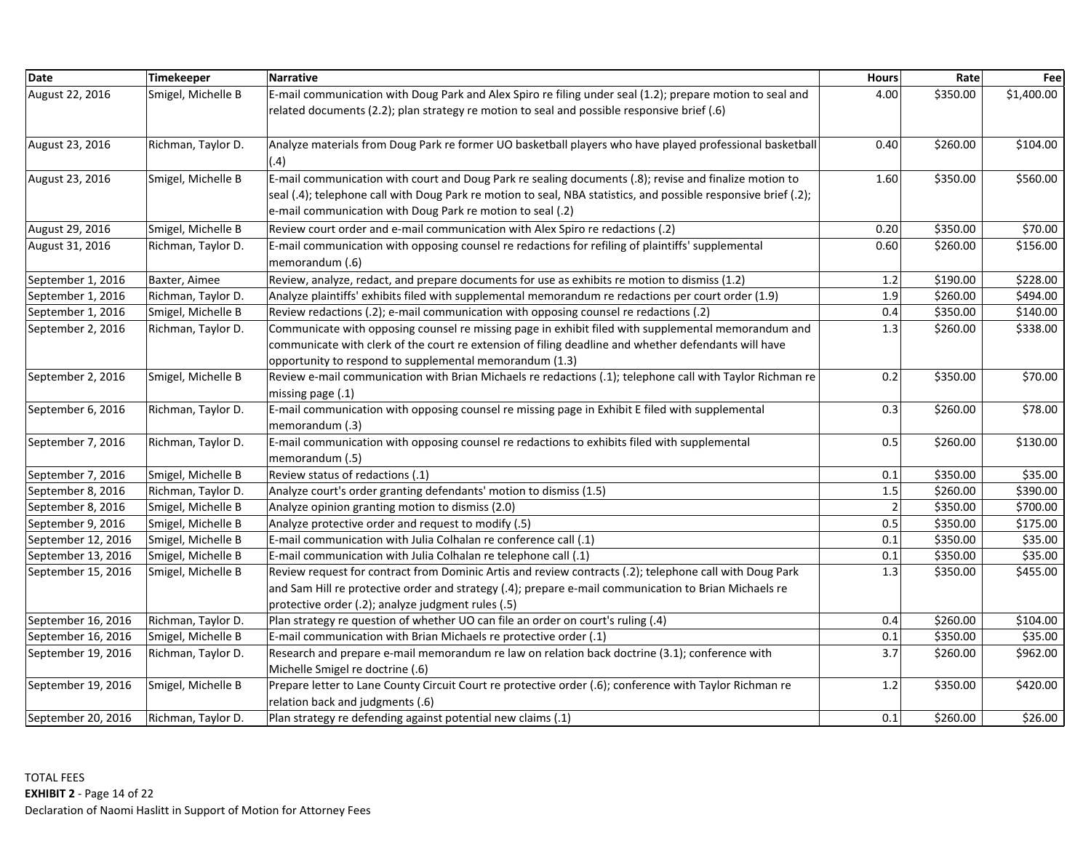| <b>Date</b>        | <b>Timekeeper</b>  | <b>Narrative</b>                                                                                                                                                                                                                                                                        | <b>Hours</b>   | Rate     | Fee        |
|--------------------|--------------------|-----------------------------------------------------------------------------------------------------------------------------------------------------------------------------------------------------------------------------------------------------------------------------------------|----------------|----------|------------|
| August 22, 2016    | Smigel, Michelle B | E-mail communication with Doug Park and Alex Spiro re filing under seal (1.2); prepare motion to seal and<br>related documents (2.2); plan strategy re motion to seal and possible responsive brief (.6)                                                                                | 4.00           | \$350.00 | \$1,400.00 |
| August 23, 2016    | Richman, Taylor D. | Analyze materials from Doug Park re former UO basketball players who have played professional basketball<br>(.4)                                                                                                                                                                        | 0.40           | \$260.00 | \$104.00   |
| August 23, 2016    | Smigel, Michelle B | E-mail communication with court and Doug Park re sealing documents (.8); revise and finalize motion to<br>seal (.4); telephone call with Doug Park re motion to seal, NBA statistics, and possible responsive brief (.2);<br>e-mail communication with Doug Park re motion to seal (.2) | 1.60           | \$350.00 | \$560.00   |
| August 29, 2016    | Smigel, Michelle B | Review court order and e-mail communication with Alex Spiro re redactions (.2)                                                                                                                                                                                                          | 0.20           | \$350.00 | \$70.00    |
| August 31, 2016    | Richman, Taylor D. | E-mail communication with opposing counsel re redactions for refiling of plaintiffs' supplemental<br>memorandum (.6)                                                                                                                                                                    | 0.60           | \$260.00 | \$156.00   |
| September 1, 2016  | Baxter, Aimee      | Review, analyze, redact, and prepare documents for use as exhibits re motion to dismiss (1.2)                                                                                                                                                                                           | 1.2            | \$190.00 | \$228.00   |
| September 1, 2016  | Richman, Taylor D. | Analyze plaintiffs' exhibits filed with supplemental memorandum re redactions per court order (1.9)                                                                                                                                                                                     | 1.9            | \$260.00 | \$494.00   |
| September 1, 2016  | Smigel, Michelle B | Review redactions (.2); e-mail communication with opposing counsel re redactions (.2)                                                                                                                                                                                                   | 0.4            | \$350.00 | \$140.00   |
| September 2, 2016  | Richman, Taylor D. | Communicate with opposing counsel re missing page in exhibit filed with supplemental memorandum and<br>communicate with clerk of the court re extension of filing deadline and whether defendants will have<br>opportunity to respond to supplemental memorandum (1.3)                  | 1.3            | \$260.00 | \$338.00   |
| September 2, 2016  | Smigel, Michelle B | Review e-mail communication with Brian Michaels re redactions (.1); telephone call with Taylor Richman re<br>missing page (.1)                                                                                                                                                          | 0.2            | \$350.00 | \$70.00    |
| September 6, 2016  | Richman, Taylor D. | E-mail communication with opposing counsel re missing page in Exhibit E filed with supplemental<br>memorandum (.3)                                                                                                                                                                      | 0.3            | \$260.00 | \$78.00    |
| September 7, 2016  | Richman, Taylor D. | E-mail communication with opposing counsel re redactions to exhibits filed with supplemental<br>memorandum (.5)                                                                                                                                                                         | 0.5            | \$260.00 | \$130.00   |
| September 7, 2016  | Smigel, Michelle B | Review status of redactions (.1)                                                                                                                                                                                                                                                        | 0.1            | \$350.00 | \$35.00    |
| September 8, 2016  | Richman, Taylor D. | Analyze court's order granting defendants' motion to dismiss (1.5)                                                                                                                                                                                                                      | $1.5\,$        | \$260.00 | \$390.00   |
| September 8, 2016  | Smigel, Michelle B | Analyze opinion granting motion to dismiss (2.0)                                                                                                                                                                                                                                        | $\overline{2}$ | \$350.00 | \$700.00   |
| September 9, 2016  | Smigel, Michelle B | Analyze protective order and request to modify (.5)                                                                                                                                                                                                                                     | 0.5            | \$350.00 | \$175.00   |
| September 12, 2016 | Smigel, Michelle B | E-mail communication with Julia Colhalan re conference call (.1)                                                                                                                                                                                                                        | 0.1            | \$350.00 | \$35.00    |
| September 13, 2016 | Smigel, Michelle B | E-mail communication with Julia Colhalan re telephone call (.1)                                                                                                                                                                                                                         | 0.1            | \$350.00 | \$35.00    |
| September 15, 2016 | Smigel, Michelle B | Review request for contract from Dominic Artis and review contracts (.2); telephone call with Doug Park<br>and Sam Hill re protective order and strategy (.4); prepare e-mail communication to Brian Michaels re<br>protective order (.2); analyze judgment rules (.5)                  | 1.3            | \$350.00 | \$455.00   |
| September 16, 2016 | Richman, Taylor D. | Plan strategy re question of whether UO can file an order on court's ruling (.4)                                                                                                                                                                                                        | 0.4            | \$260.00 | \$104.00   |
| September 16, 2016 | Smigel, Michelle B | E-mail communication with Brian Michaels re protective order (.1)                                                                                                                                                                                                                       | 0.1            | \$350.00 | \$35.00    |
| September 19, 2016 | Richman, Taylor D. | Research and prepare e-mail memorandum re law on relation back doctrine (3.1); conference with<br>Michelle Smigel re doctrine (.6)                                                                                                                                                      | 3.7            | \$260.00 | \$962.00   |
| September 19, 2016 | Smigel, Michelle B | Prepare letter to Lane County Circuit Court re protective order (.6); conference with Taylor Richman re<br>relation back and judgments (.6)                                                                                                                                             | 1.2            | \$350.00 | \$420.00   |
| September 20, 2016 | Richman, Taylor D. | Plan strategy re defending against potential new claims (.1)                                                                                                                                                                                                                            | 0.1            | \$260.00 | \$26.00    |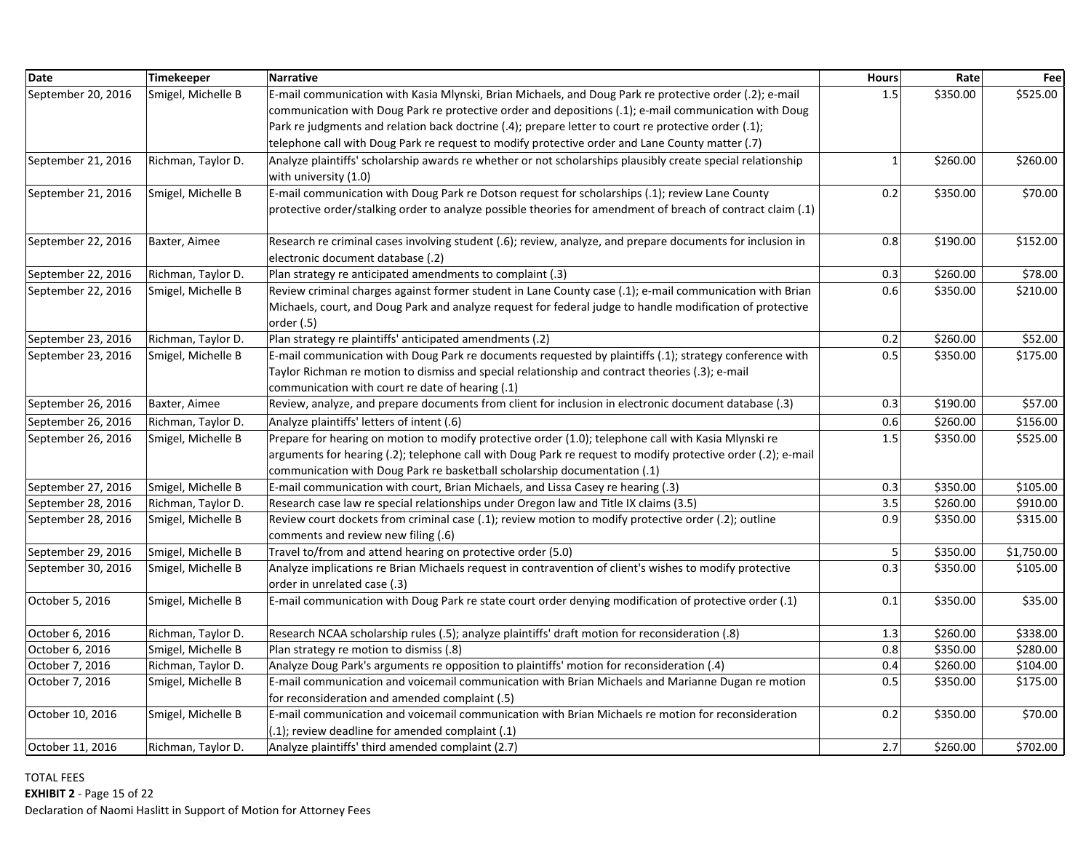| <b>Date</b>        | <b>Timekeeper</b>  | Narrative                                                                                                                                              | <b>Hours</b> | Rate     | Fee        |
|--------------------|--------------------|--------------------------------------------------------------------------------------------------------------------------------------------------------|--------------|----------|------------|
| September 20, 2016 | Smigel, Michelle B | E-mail communication with Kasia Mlynski, Brian Michaels, and Doug Park re protective order (.2); e-mail                                                | 1.5          | \$350.00 | \$525.00   |
|                    |                    | communication with Doug Park re protective order and depositions (.1); e-mail communication with Doug                                                  |              |          |            |
|                    |                    | Park rejudgments and relation back doctrine (.4); prepare letter to court re protective order (.1);                                                    |              |          |            |
|                    |                    | telephone call with Doug Park re request to modify protective order and Lane County matter (.7)                                                        |              |          |            |
| September 21, 2016 | Richman, Taylor D. | Analyze plaintiffs' scholarship awards re whether or not scholarships plausibly create special relationship<br>with university (1.0)                   | $\mathbf{1}$ | \$260.00 | \$260.00   |
| September 21, 2016 | Smigel, Michelle B | E-mail communication with Doug Park re Dotson request for scholarships (.1); review Lane County                                                        | 0.2          | \$350.00 | \$70.00    |
|                    |                    | protective order/stalking order to analyze possible theories for amendment of breach of contract claim (.1)                                            |              |          |            |
| September 22, 2016 | Baxter, Aimee      | Research re criminal cases involving student (.6); review, analyze, and prepare documents for inclusion in<br>electronic document database (.2)        | 0.8          | \$190.00 | \$152.00   |
| September 22, 2016 | Richman, Taylor D. | Plan strategy re anticipated amendments to complaint (.3)                                                                                              | 0.3          | \$260.00 | \$78.00    |
| September 22, 2016 | Smigel, Michelle B | Review criminal charges against former student in Lane County case (.1); e-mail communication with Brian                                               | 0.6          | \$350.00 | \$210.00   |
|                    |                    | Michaels, court, and Doug Park and analyze request for federal judge to handle modification of protective<br>order $(.5)$                              |              |          |            |
| September 23, 2016 | Richman, Taylor D. | Plan strategy re plaintiffs' anticipated amendments (.2)                                                                                               | 0.2          | \$260.00 | \$52.00    |
| September 23, 2016 | Smigel, Michelle B | E-mail communication with Doug Park re documents requested by plaintiffs (.1); strategy conference with                                                | 0.5          | \$350.00 | \$175.00   |
|                    |                    | Taylor Richman re motion to dismiss and special relationship and contract theories (.3); e-mail<br>communication with court re date of hearing (.1)    |              |          |            |
| September 26, 2016 | Baxter, Aimee      | Review, analyze, and prepare documents from client for inclusion in electronic document database (.3)                                                  | 0.3          | \$190.00 | \$57.00    |
| September 26, 2016 | Richman, Taylor D. | Analyze plaintiffs' letters of intent (.6)                                                                                                             | 0.6          | \$260.00 | \$156.00   |
| September 26, 2016 | Smigel, Michelle B | Prepare for hearing on motion to modify protective order (1.0); telephone call with Kasia Mlynski re                                                   | 1.5          | \$350.00 | \$525.00   |
|                    |                    | arguments for hearing (.2); telephone call with Doug Park re request to modify protective order (.2); e-mail                                           |              |          |            |
|                    |                    | communication with Doug Park re basketball scholarship documentation (.1)                                                                              |              |          |            |
| September 27, 2016 | Smigel, Michelle B | E-mail communication with court, Brian Michaels, and Lissa Casey re hearing (.3)                                                                       | 0.3          | \$350.00 | \$105.00   |
| September 28, 2016 | Richman, Taylor D. | Research case law re special relationships under Oregon law and Title IX claims (3.5)                                                                  | 3.5          | \$260.00 | \$910.00   |
| September 28, 2016 | Smigel, Michelle B | Review court dockets from criminal case (.1); review motion to modify protective order (.2); outline<br>comments and review new filing (.6)            | 0.9          | \$350.00 | \$315.00   |
| September 29, 2016 | Smigel, Michelle B | Travel to/from and attend hearing on protective order (5.0)                                                                                            | 5            | \$350.00 | \$1,750.00 |
| September 30, 2016 | Smigel, Michelle B | Analyze implications re Brian Michaels request in contravention of client's wishes to modify protective<br>order in unrelated case (.3)                | 0.3          | \$350.00 | \$105.00   |
| October 5, 2016    | Smigel, Michelle B | E-mail communication with Doug Park re state court order denying modification of protective order (.1)                                                 | 0.1          | \$350.00 | \$35.00    |
| October 6, 2016    | Richman, Taylor D. | Research NCAA scholarship rules (.5); analyze plaintiffs' draft motion for reconsideration (.8)                                                        | 1.3          | \$260.00 | \$338.00   |
| October 6, 2016    | Smigel, Michelle B | Plan strategy re motion to dismiss (.8)                                                                                                                | 0.8          | \$350.00 | \$280.00   |
| October 7, 2016    | Richman, Taylor D. | Analyze Doug Park's arguments re opposition to plaintiffs' motion for reconsideration (.4)                                                             | 0.4          | \$260.00 | \$104.00   |
| October 7, 2016    | Smigel, Michelle B | E-mail communication and voicemail communication with Brian Michaels and Marianne Dugan re motion                                                      | $0.5\,$      | \$350.00 | \$175.00   |
|                    |                    | for reconsideration and amended complaint (.5)                                                                                                         |              |          |            |
| October 10, 2016   | Smigel, Michelle B | E-mail communication and voicemail communication with Brian Michaels re motion for reconsideration<br>(.1); review deadline for amended complaint (.1) | 0.2          | \$350.00 | \$70.00    |
| October 11, 2016   | Richman, Taylor D. | Analyze plaintiffs' third amended complaint (2.7)                                                                                                      | 2.7          | \$260.00 | \$702.00   |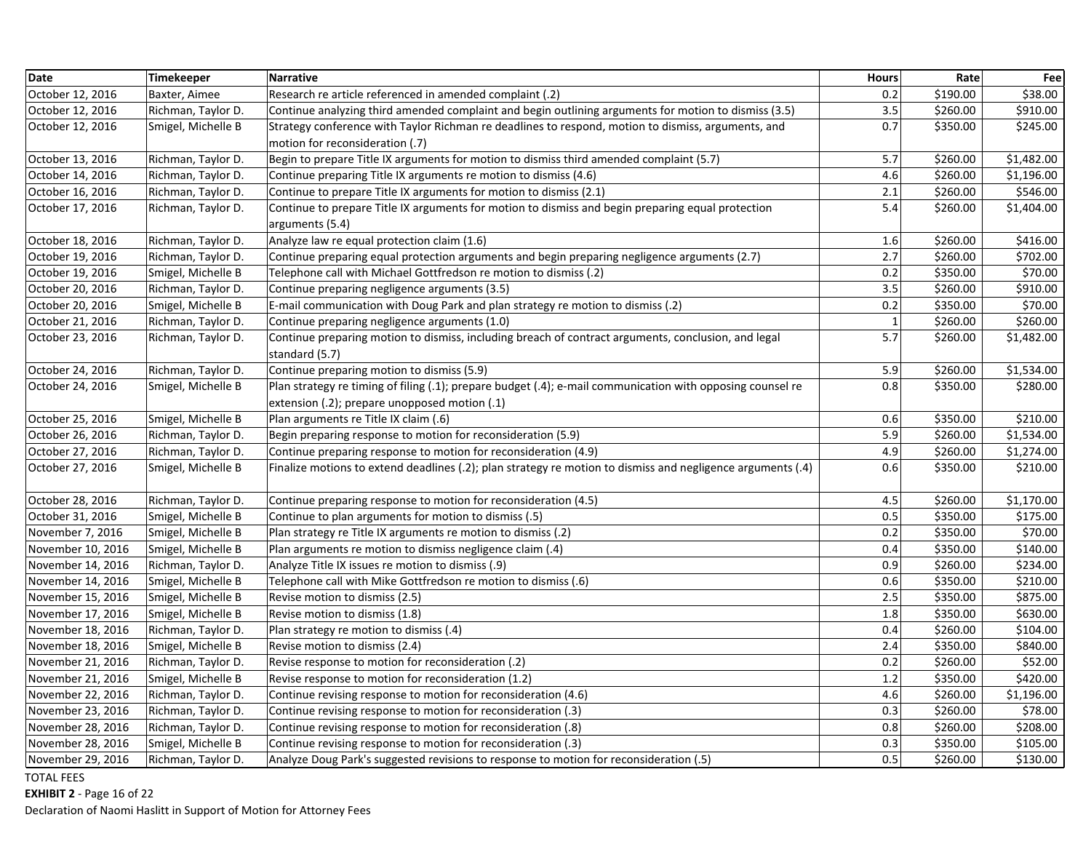| <b>Date</b>       | Timekeeper         | <b>Narrative</b>                                                                                            | <b>Hours</b> | Rate     | Fee        |
|-------------------|--------------------|-------------------------------------------------------------------------------------------------------------|--------------|----------|------------|
| October 12, 2016  | Baxter, Aimee      | Research re article referenced in amended complaint (.2)                                                    | 0.2          | \$190.00 | \$38.00    |
| October 12, 2016  | Richman, Taylor D. | Continue analyzing third amended complaint and begin outlining arguments for motion to dismiss (3.5)        | 3.5          | \$260.00 | \$910.00   |
| October 12, 2016  | Smigel, Michelle B | Strategy conference with Taylor Richman re deadlines to respond, motion to dismiss, arguments, and          | 0.7          | \$350.00 | \$245.00   |
|                   |                    | motion for reconsideration (.7)                                                                             |              |          |            |
| October 13, 2016  | Richman, Taylor D. | Begin to prepare Title IX arguments for motion to dismiss third amended complaint (5.7)                     | 5.7          | \$260.00 | \$1,482.00 |
| October 14, 2016  | Richman, Taylor D. | Continue preparing Title IX arguments re motion to dismiss (4.6)                                            | 4.6          | \$260.00 | \$1,196.00 |
| October 16, 2016  | Richman, Taylor D. | Continue to prepare Title IX arguments for motion to dismiss (2.1)                                          | 2.1          | \$260.00 | \$546.00   |
| October 17, 2016  | Richman, Taylor D. | Continue to prepare Title IX arguments for motion to dismiss and begin preparing equal protection           | 5.4          | \$260.00 | \$1,404.00 |
|                   |                    | arguments (5.4)                                                                                             |              |          |            |
| October 18, 2016  | Richman, Taylor D. | Analyze law re equal protection claim (1.6)                                                                 | 1.6          | \$260.00 | \$416.00   |
| October 19, 2016  | Richman, Taylor D. | Continue preparing equal protection arguments and begin preparing negligence arguments (2.7)                | 2.7          | \$260.00 | \$702.00   |
| October 19, 2016  | Smigel, Michelle B | Telephone call with Michael Gottfredson re motion to dismiss (.2)                                           | 0.2          | \$350.00 | \$70.00    |
| October 20, 2016  | Richman, Taylor D. | Continue preparing negligence arguments (3.5)                                                               | 3.5          | \$260.00 | \$910.00   |
| October 20, 2016  | Smigel, Michelle B | E-mail communication with Doug Park and plan strategy re motion to dismiss (.2)                             | 0.2          | \$350.00 | \$70.00    |
| October 21, 2016  | Richman, Taylor D. | Continue preparing negligence arguments (1.0)                                                               | $\mathbf{1}$ | \$260.00 | \$260.00   |
| October 23, 2016  | Richman, Taylor D. | Continue preparing motion to dismiss, including breach of contract arguments, conclusion, and legal         | 5.7          | \$260.00 | \$1,482.00 |
|                   |                    | standard (5.7)                                                                                              |              |          |            |
| October 24, 2016  | Richman, Taylor D. | Continue preparing motion to dismiss (5.9)                                                                  | 5.9          | \$260.00 | \$1,534.00 |
| October 24, 2016  | Smigel, Michelle B | Plan strategy re timing of filing (.1); prepare budget (.4); e-mail communication with opposing counsel re  | 0.8          | \$350.00 | \$280.00   |
|                   |                    | extension (.2); prepare unopposed motion (.1)                                                               |              |          |            |
| October 25, 2016  | Smigel, Michelle B | Plan arguments re Title IX claim (.6)                                                                       | 0.6          | \$350.00 | \$210.00   |
| October 26, 2016  | Richman, Taylor D. | Begin preparing response to motion for reconsideration (5.9)                                                | 5.9          | \$260.00 | \$1,534.00 |
| October 27, 2016  | Richman, Taylor D. | Continue preparing response to motion for reconsideration (4.9)                                             | 4.9          | \$260.00 | \$1,274.00 |
| October 27, 2016  | Smigel, Michelle B | Finalize motions to extend deadlines (.2); plan strategy re motion to dismiss and negligence arguments (.4) | 0.6          | \$350.00 | \$210.00   |
|                   |                    |                                                                                                             |              |          |            |
| October 28, 2016  | Richman, Taylor D. | Continue preparing response to motion for reconsideration (4.5)                                             | 4.5          | \$260.00 | \$1,170.00 |
| October 31, 2016  | Smigel, Michelle B | Continue to plan arguments for motion to dismiss (.5)                                                       | 0.5          | \$350.00 | \$175.00   |
| November 7, 2016  | Smigel, Michelle B | Plan strategy re Title IX arguments re motion to dismiss (.2)                                               | 0.2          | \$350.00 | \$70.00    |
| November 10, 2016 | Smigel, Michelle B | Plan arguments re motion to dismiss negligence claim (.4)                                                   | 0.4          | \$350.00 | \$140.00   |
| November 14, 2016 | Richman, Taylor D. | Analyze Title IX issues re motion to dismiss (.9)                                                           | 0.9          | \$260.00 | \$234.00   |
| November 14, 2016 | Smigel, Michelle B | Telephone call with Mike Gottfredson re motion to dismiss (.6)                                              | 0.6          | \$350.00 | \$210.00   |
| November 15, 2016 | Smigel, Michelle B | Revise motion to dismiss (2.5)                                                                              | 2.5          | \$350.00 | \$875.00   |
| November 17, 2016 | Smigel, Michelle B | Revise motion to dismiss (1.8)                                                                              | 1.8          | \$350.00 | \$630.00   |
| November 18, 2016 | Richman, Taylor D. | Plan strategy re motion to dismiss (.4)                                                                     | 0.4          | \$260.00 | \$104.00   |
| November 18, 2016 | Smigel, Michelle B | Revise motion to dismiss (2.4)                                                                              | 2.4          | \$350.00 | \$840.00   |
| November 21, 2016 | Richman, Taylor D. | Revise response to motion for reconsideration (.2)                                                          | 0.2          | \$260.00 | \$52.00    |
| November 21, 2016 | Smigel, Michelle B | Revise response to motion for reconsideration (1.2)                                                         | 1.2          | \$350.00 | \$420.00   |
| November 22, 2016 | Richman, Taylor D. | Continue revising response to motion for reconsideration (4.6)                                              | 4.6          | \$260.00 | \$1,196.00 |
| November 23, 2016 | Richman, Taylor D. | Continue revising response to motion for reconsideration (.3)                                               | 0.3          | \$260.00 | \$78.00    |
| November 28, 2016 | Richman, Taylor D. | Continue revising response to motion for reconsideration (.8)                                               | 0.8          | \$260.00 | \$208.00   |
| November 28, 2016 | Smigel, Michelle B | Continue revising response to motion for reconsideration (.3)                                               | 0.3          | \$350.00 | \$105.00   |
| November 29, 2016 | Richman, Taylor D. | Analyze Doug Park's suggested revisions to response to motion for reconsideration (.5)                      | 0.5          | \$260.00 | \$130.00   |

**EXHIBIT 2** ‐ Page 16 of 22

Declaration of Naomi Haslitt in Support of Motion for Attorney Fees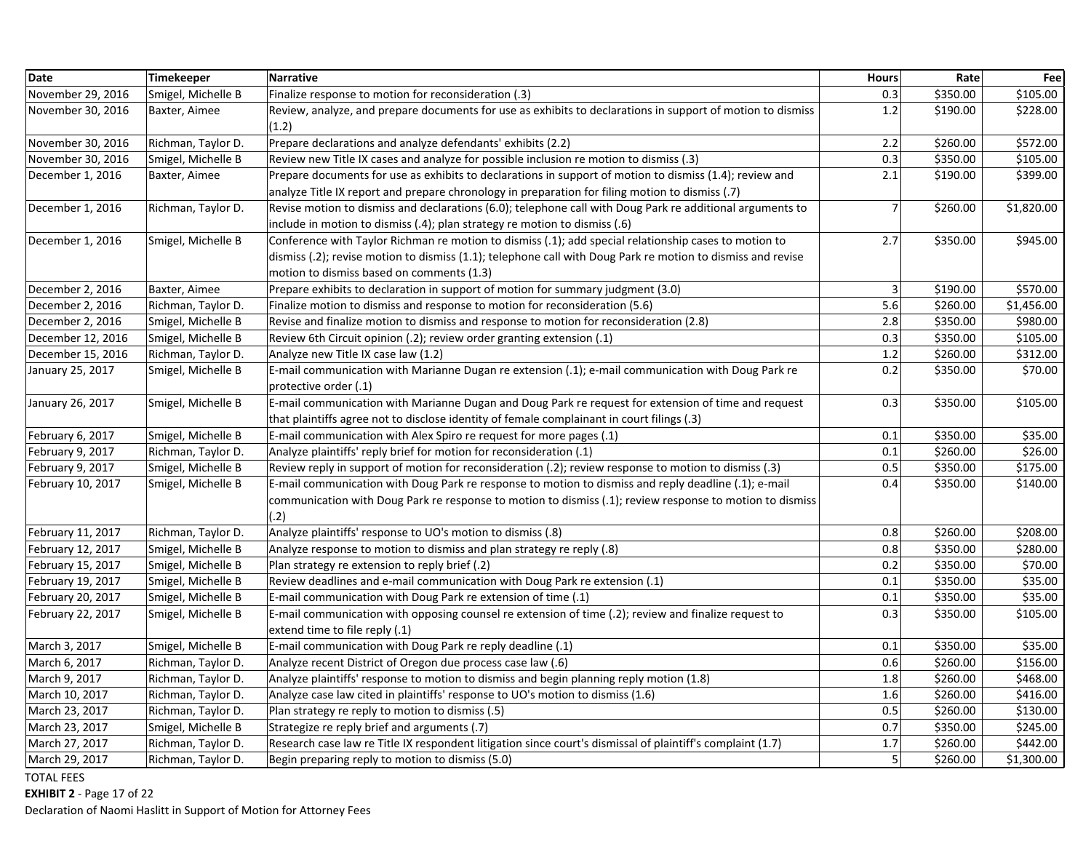| <b>Date</b>       | Timekeeper         | <b>Narrative</b>                                                                                                                                                                                                                                                  | <b>Hours</b>   | Rate     | Fee        |
|-------------------|--------------------|-------------------------------------------------------------------------------------------------------------------------------------------------------------------------------------------------------------------------------------------------------------------|----------------|----------|------------|
| November 29, 2016 | Smigel, Michelle B | Finalize response to motion for reconsideration (.3)                                                                                                                                                                                                              | 0.3            | \$350.00 | \$105.00   |
| November 30, 2016 | Baxter, Aimee      | Review, analyze, and prepare documents for use as exhibits to declarations in support of motion to dismiss<br>(1.2)                                                                                                                                               | $1.2\,$        | \$190.00 | \$228.00   |
| November 30, 2016 | Richman, Taylor D. | Prepare declarations and analyze defendants' exhibits (2.2)                                                                                                                                                                                                       | 2.2            | \$260.00 | \$572.00   |
| November 30, 2016 | Smigel, Michelle B | Review new Title IX cases and analyze for possible inclusion re motion to dismiss (.3)                                                                                                                                                                            | 0.3            | \$350.00 | \$105.00   |
| December 1, 2016  | Baxter, Aimee      | Prepare documents for use as exhibits to declarations in support of motion to dismiss (1.4); review and<br>analyze Title IX report and prepare chronology in preparation for filing motion to dismiss (.7)                                                        | 2.1            | \$190.00 | \$399.00   |
| December 1, 2016  | Richman, Taylor D. | Revise motion to dismiss and declarations (6.0); telephone call with Doug Park re additional arguments to<br>include in motion to dismiss (.4); plan strategy re motion to dismiss (.6)                                                                           | $\overline{7}$ | \$260.00 | \$1,820.00 |
| December 1, 2016  | Smigel, Michelle B | Conference with Taylor Richman re motion to dismiss (.1); add special relationship cases to motion to<br>dismiss (.2); revise motion to dismiss (1.1); telephone call with Doug Park re motion to dismiss and revise<br>motion to dismiss based on comments (1.3) | 2.7            | \$350.00 | \$945.00   |
| December 2, 2016  | Baxter, Aimee      | Prepare exhibits to declaration in support of motion for summary judgment (3.0)                                                                                                                                                                                   | 3              | \$190.00 | \$570.00   |
| December 2, 2016  | Richman, Taylor D. | Finalize motion to dismiss and response to motion for reconsideration (5.6)                                                                                                                                                                                       | 5.6            | \$260.00 | \$1,456.00 |
| December 2, 2016  | Smigel, Michelle B | Revise and finalize motion to dismiss and response to motion for reconsideration (2.8)                                                                                                                                                                            | 2.8            | \$350.00 | \$980.00   |
| December 12, 2016 | Smigel, Michelle B | Review 6th Circuit opinion (.2); review order granting extension (.1)                                                                                                                                                                                             | 0.3            | \$350.00 | \$105.00   |
| December 15, 2016 | Richman, Taylor D. | Analyze new Title IX case law (1.2)                                                                                                                                                                                                                               | $1.2\,$        | \$260.00 | \$312.00   |
| January 25, 2017  | Smigel, Michelle B | E-mail communication with Marianne Dugan re extension (.1); e-mail communication with Doug Park re<br>protective order (.1)                                                                                                                                       | 0.2            | \$350.00 | \$70.00    |
| January 26, 2017  | Smigel, Michelle B | E-mail communication with Marianne Dugan and Doug Park re request for extension of time and request<br>that plaintiffs agree not to disclose identity of female complainant in court filings (.3)                                                                 | 0.3            | \$350.00 | \$105.00   |
| February 6, 2017  | Smigel, Michelle B | E-mail communication with Alex Spiro re request for more pages (.1)                                                                                                                                                                                               | 0.1            | \$350.00 | \$35.00    |
| February 9, 2017  | Richman, Taylor D. | Analyze plaintiffs' reply brief for motion for reconsideration (.1)                                                                                                                                                                                               | 0.1            | \$260.00 | \$26.00    |
| February 9, 2017  | Smigel, Michelle B | Review reply in support of motion for reconsideration (.2); review response to motion to dismiss (.3)                                                                                                                                                             | 0.5            | \$350.00 | \$175.00   |
| February 10, 2017 | Smigel, Michelle B | E-mail communication with Doug Park re response to motion to dismiss and reply deadline (.1); e-mail<br>communication with Doug Park re response to motion to dismiss (.1); review response to motion to dismiss<br>(.2)                                          | 0.4            | \$350.00 | \$140.00   |
| February 11, 2017 | Richman, Taylor D. | Analyze plaintiffs' response to UO's motion to dismiss (.8)                                                                                                                                                                                                       | 0.8            | \$260.00 | \$208.00   |
| February 12, 2017 | Smigel, Michelle B | Analyze response to motion to dismiss and plan strategy re reply (.8)                                                                                                                                                                                             | 0.8            | \$350.00 | \$280.00   |
| February 15, 2017 | Smigel, Michelle B | Plan strategy re extension to reply brief (.2)                                                                                                                                                                                                                    | 0.2            | \$350.00 | \$70.00    |
| February 19, 2017 | Smigel, Michelle B | Review deadlines and e-mail communication with Doug Park re extension (.1)                                                                                                                                                                                        | 0.1            | \$350.00 | \$35.00    |
| February 20, 2017 | Smigel, Michelle B | E-mail communication with Doug Park re extension of time (.1)                                                                                                                                                                                                     | 0.1            | \$350.00 | \$35.00    |
| February 22, 2017 | Smigel, Michelle B | E-mail communication with opposing counsel re extension of time (.2); review and finalize request to<br>extend time to file reply (.1)                                                                                                                            | 0.3            | \$350.00 | \$105.00   |
| March 3, 2017     | Smigel, Michelle B | E-mail communication with Doug Park re reply deadline (.1)                                                                                                                                                                                                        | 0.1            | \$350.00 | \$35.00    |
| March 6, 2017     | Richman, Taylor D. | Analyze recent District of Oregon due process case law (.6)                                                                                                                                                                                                       | 0.6            | \$260.00 | \$156.00   |
| March 9, 2017     | Richman, Taylor D. | Analyze plaintiffs' response to motion to dismiss and begin planning reply motion (1.8)                                                                                                                                                                           | 1.8            | \$260.00 | \$468.00   |
| March 10, 2017    | Richman, Taylor D. | Analyze case law cited in plaintiffs' response to UO's motion to dismiss (1.6)                                                                                                                                                                                    | 1.6            | \$260.00 | \$416.00   |
| March 23, 2017    | Richman, Taylor D. | Plan strategy re reply to motion to dismiss (.5)                                                                                                                                                                                                                  | 0.5            | \$260.00 | \$130.00   |
| March 23, 2017    | Smigel, Michelle B | Strategize re reply brief and arguments (.7)                                                                                                                                                                                                                      | 0.7            | \$350.00 | \$245.00   |
| March 27, 2017    | Richman, Taylor D. | Research case law re Title IX respondent litigation since court's dismissal of plaintiff's complaint (1.7)                                                                                                                                                        | 1.7            | \$260.00 | \$442.00   |
| March 29, 2017    | Richman, Taylor D. | Begin preparing reply to motion to dismiss (5.0)                                                                                                                                                                                                                  | $\overline{5}$ | \$260.00 | \$1,300.00 |

**EXHIBIT 2** ‐ Page 17 of 22

Declaration of Naomi Haslitt in Support of Motion for Attorney Fees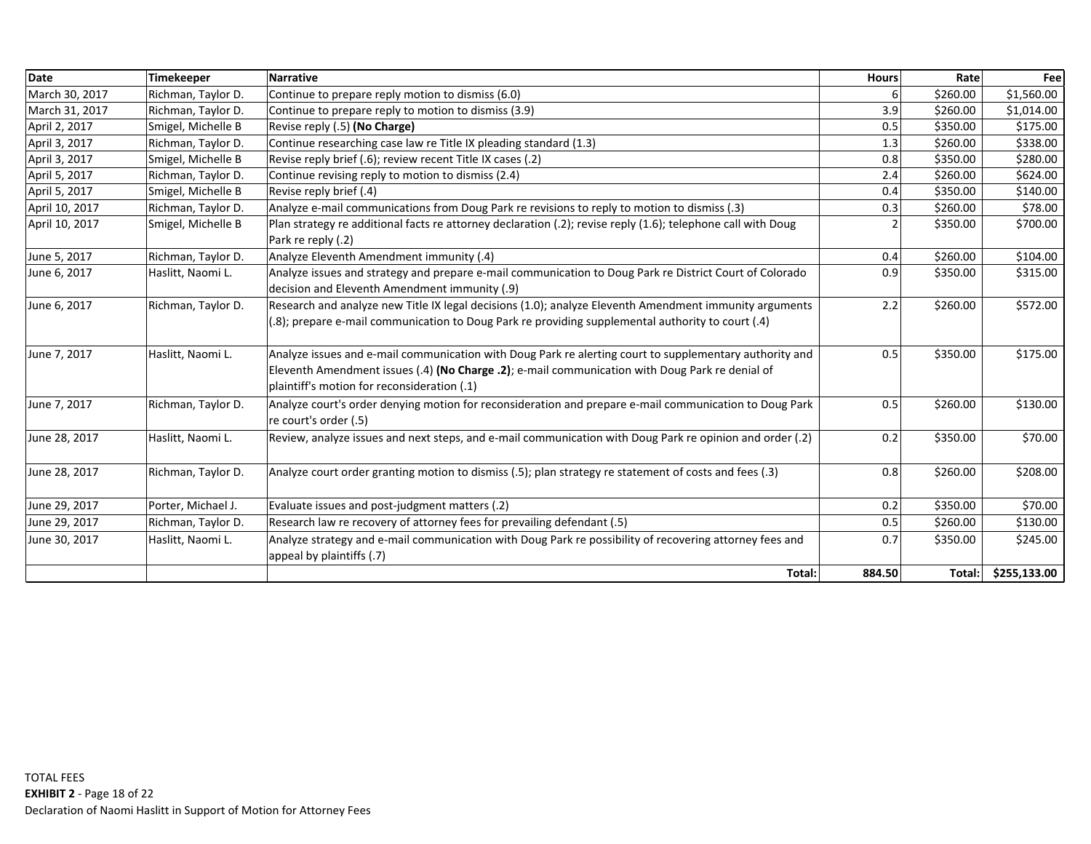| <b>Date</b>    | <b>Timekeeper</b>  | <b>Narrative</b>                                                                                                                                                                                                                                          | <b>Hours</b>   | Rate     | Fee          |
|----------------|--------------------|-----------------------------------------------------------------------------------------------------------------------------------------------------------------------------------------------------------------------------------------------------------|----------------|----------|--------------|
| March 30, 2017 | Richman, Taylor D. | Continue to prepare reply motion to dismiss (6.0)                                                                                                                                                                                                         |                | \$260.00 | \$1,560.00   |
| March 31, 2017 | Richman, Taylor D. | Continue to prepare reply to motion to dismiss (3.9)                                                                                                                                                                                                      | 3.9            | \$260.00 | \$1,014.00   |
| April 2, 2017  | Smigel, Michelle B | Revise reply (.5) (No Charge)                                                                                                                                                                                                                             | 0.5            | \$350.00 | \$175.00     |
| April 3, 2017  | Richman, Taylor D. | Continue researching case law re Title IX pleading standard (1.3)                                                                                                                                                                                         | 1.3            | \$260.00 | \$338.00     |
| April 3, 2017  | Smigel, Michelle B | Revise reply brief (.6); review recent Title IX cases (.2)                                                                                                                                                                                                | 0.8            | \$350.00 | \$280.00     |
| April 5, 2017  | Richman, Taylor D. | Continue revising reply to motion to dismiss (2.4)                                                                                                                                                                                                        | 2.4            | \$260.00 | \$624.00     |
| April 5, 2017  | Smigel, Michelle B | Revise reply brief (.4)                                                                                                                                                                                                                                   | 0.4            | \$350.00 | \$140.00     |
| April 10, 2017 | Richman, Taylor D. | Analyze e-mail communications from Doug Park re revisions to reply to motion to dismiss (.3)                                                                                                                                                              | 0.3            | \$260.00 | \$78.00      |
| April 10, 2017 | Smigel, Michelle B | Plan strategy re additional facts re attorney declaration (.2); revise reply (1.6); telephone call with Doug<br>Park re reply (.2)                                                                                                                        | $\overline{2}$ | \$350.00 | \$700.00     |
| June 5, 2017   | Richman, Taylor D. | Analyze Eleventh Amendment immunity (.4)                                                                                                                                                                                                                  | 0.4            | \$260.00 | \$104.00     |
| June 6, 2017   | Haslitt, Naomi L.  | Analyze issues and strategy and prepare e-mail communication to Doug Park re District Court of Colorado<br>decision and Eleventh Amendment immunity (.9)                                                                                                  | 0.9            | \$350.00 | \$315.00     |
| June 6, 2017   | Richman, Taylor D. | Research and analyze new Title IX legal decisions (1.0); analyze Eleventh Amendment immunity arguments<br>(.8.) prepare e-mail communication to Doug Park re providing supplemental authority to court (.4)                                               | 2.2            | \$260.00 | \$572.00     |
| June 7, 2017   | Haslitt, Naomi L.  | Analyze issues and e-mail communication with Doug Park re alerting court to supplementary authority and<br>Eleventh Amendment issues (.4) (No Charge .2); e-mail communication with Doug Park re denial of<br>plaintiff's motion for reconsideration (.1) | 0.5            | \$350.00 | \$175.00     |
| June 7, 2017   | Richman, Taylor D. | Analyze court's order denying motion for reconsideration and prepare e-mail communication to Doug Park<br>re court's order (.5)                                                                                                                           | 0.5            | \$260.00 | \$130.00     |
| June 28, 2017  | Haslitt, Naomi L.  | Review, analyze issues and next steps, and e-mail communication with Doug Park re opinion and order (.2)                                                                                                                                                  | 0.2            | \$350.00 | \$70.00      |
| June 28, 2017  | Richman, Taylor D. | Analyze court order granting motion to dismiss (.5); plan strategy re statement of costs and fees (.3)                                                                                                                                                    | 0.8            | \$260.00 | \$208.00     |
| June 29, 2017  | Porter, Michael J. | Evaluate issues and post-judgment matters (.2)                                                                                                                                                                                                            | 0.2            | \$350.00 | \$70.00      |
| June 29, 2017  | Richman, Taylor D. | Research law re recovery of attorney fees for prevailing defendant (.5)                                                                                                                                                                                   | 0.5            | \$260.00 | \$130.00     |
| June 30, 2017  | Haslitt, Naomi L.  | Analyze strategy and e-mail communication with Doug Park re possibility of recovering attorney fees and<br>appeal by plaintiffs (.7)                                                                                                                      | 0.7            | \$350.00 | \$245.00     |
|                |                    | Total:                                                                                                                                                                                                                                                    | 884.50         | Total:   | \$255,133.00 |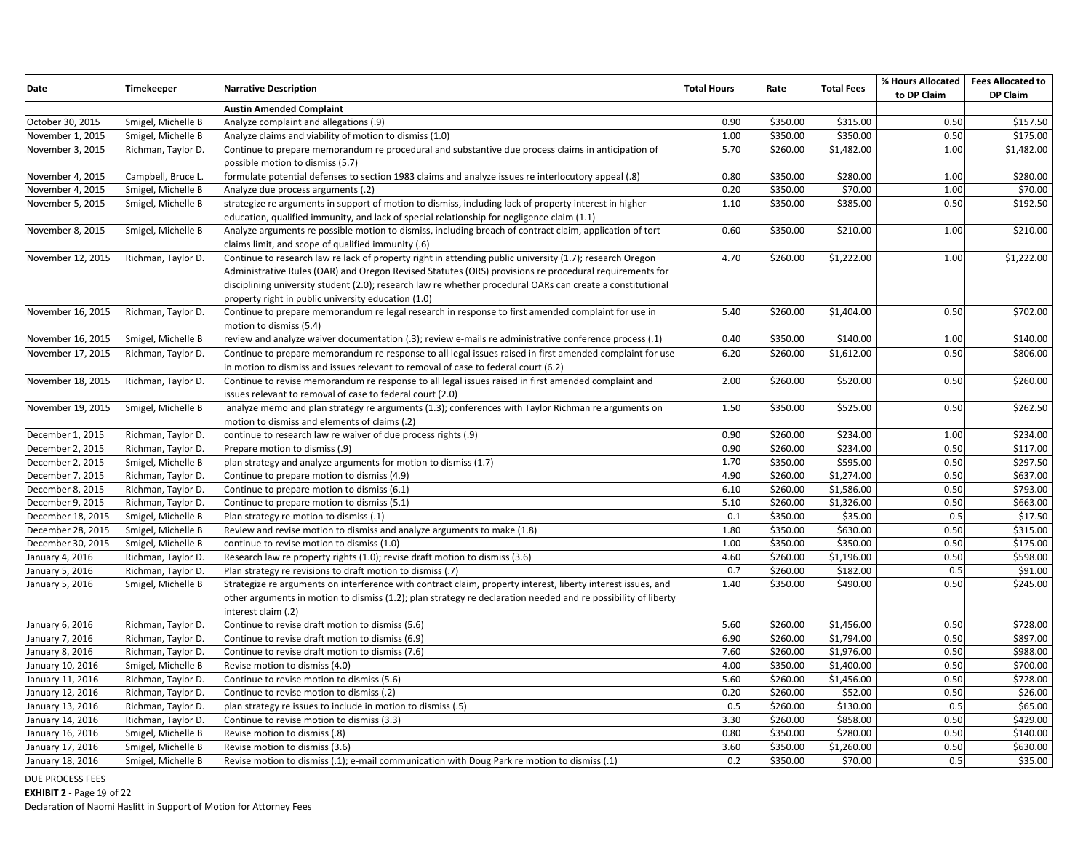| Date              | Timekeeper         | <b>Narrative Description</b>                                                                                                           | <b>Total Hours</b> | Rate     | <b>Total Fees</b> | % Hours Allocated<br>to DP Claim | <b>Fees Allocated to</b><br>DP Claim |
|-------------------|--------------------|----------------------------------------------------------------------------------------------------------------------------------------|--------------------|----------|-------------------|----------------------------------|--------------------------------------|
|                   |                    | <b>Austin Amended Complaint</b>                                                                                                        |                    |          |                   |                                  |                                      |
| October 30, 2015  | Smigel, Michelle B | Analyze complaint and allegations (.9)                                                                                                 | 0.90               | \$350.00 | \$315.00          | 0.50                             | \$157.50                             |
| November 1, 2015  | Smigel, Michelle B | Analyze claims and viability of motion to dismiss (1.0)                                                                                | 1.00               | \$350.00 | \$350.00          | 0.50                             | \$175.00                             |
| November 3, 2015  | Richman, Taylor D. | Continue to prepare memorandum re procedural and substantive due process claims in anticipation of<br>possible motion to dismiss (5.7) | 5.70               | \$260.00 | \$1,482.00        | 1.00                             | \$1,482.00                           |
| November 4, 2015  | Campbell, Bruce L. | (8). formulate potential defenses to section 1983 claims and analyze issues re interlocutory appeal                                    | 0.80               | \$350.00 | \$280.00          | 1.00                             | \$280.00                             |
| November 4, 2015  | Smigel, Michelle B | Analyze due process arguments (.2)                                                                                                     | 0.20               | \$350.00 | \$70.00           | 1.00                             | \$70.00                              |
| November 5, 2015  | Smigel, Michelle B | strategize re arguments in support of motion to dismiss, including lack of property interest in higher                                 | 1.10               | \$350.00 | \$385.00          | 0.50                             | \$192.50                             |
|                   |                    | education, qualified immunity, and lack of special relationship for negligence claim (1.1)                                             |                    |          |                   |                                  |                                      |
| November 8, 2015  | Smigel, Michelle B | Analyze arguments re possible motion to dismiss, including breach of contract claim, application of tort                               | 0.60               | \$350.00 | \$210.00          | 1.00                             | \$210.00                             |
|                   |                    | claims limit, and scope of qualified immunity (.6)                                                                                     |                    |          |                   |                                  |                                      |
| November 12, 2015 | Richman, Taylor D. | Continue to research law re lack of property right in attending public university (1.7); research Oregon                               | 4.70               | \$260.00 | \$1,222.00        | 1.00                             | \$1,222.00                           |
|                   |                    | Administrative Rules (OAR) and Oregon Revised Statutes (ORS) provisions re procedural requirements for                                 |                    |          |                   |                                  |                                      |
|                   |                    | disciplining university student (2.0); research law re whether procedural OARs can create a constitutional                             |                    |          |                   |                                  |                                      |
|                   |                    | property right in public university education (1.0)                                                                                    |                    |          |                   |                                  |                                      |
| November 16, 2015 | Richman, Taylor D. | Continue to prepare memorandum re legal research in response to first amended complaint for use in                                     | 5.40               | \$260.00 | \$1,404.00        | 0.50                             | \$702.00                             |
|                   |                    | motion to dismiss (5.4)                                                                                                                |                    |          |                   |                                  |                                      |
| November 16, 2015 | Smigel, Michelle B | (1.) review and analyze waiver documentation (.3); review e-mails re administrative conference process                                 | 0.40               | \$350.00 | \$140.00          | 1.00                             | \$140.00                             |
| November 17, 2015 | Richman, Taylor D. | Continue to prepare memorandum re response to all legal issues raised in first amended complaint for use                               | 6.20               | \$260.00 | \$1,612.00        | 0.50                             | \$806.00                             |
|                   |                    | in motion to dismiss and issues relevant to removal of case to federal court (6.2)                                                     |                    |          |                   |                                  |                                      |
| November 18, 2015 | Richman, Taylor D. | Continue to revise memorandum re response to all legal issues raised in first amended complaint and                                    | 2.00               | \$260.00 | \$520.00          | 0.50                             | \$260.00                             |
|                   |                    | issues relevant to removal of case to federal court (2.0)                                                                              |                    |          |                   |                                  |                                      |
| November 19, 2015 | Smigel, Michelle B | analyze memo and plan strategy re arguments (1.3); conferences with Taylor Richman re arguments on                                     | 1.50               | \$350.00 | \$525.00          | 0.50                             | \$262.50                             |
|                   |                    | motion to dismiss and elements of claims (.2)                                                                                          |                    |          |                   |                                  |                                      |
| December 1, 2015  | Richman, Taylor D. | continue to research law re waiver of due process rights (.9)                                                                          | 0.90               | \$260.00 | \$234.00          | 1.00                             | \$234.00                             |
| December 2, 2015  | Richman, Taylor D. | Prepare motion to dismiss (.9)                                                                                                         | 0.90               | \$260.00 | \$234.00          | 0.50                             | \$117.00                             |
| December 2, 2015  | Smigel, Michelle B | plan strategy and analyze arguments for motion to dismiss (1.7)                                                                        | 1.70               | \$350.00 | \$595.00          | 0.50                             | \$297.50                             |
| December 7, 2015  | Richman, Taylor D. | Continue to prepare motion to dismiss (4.9)                                                                                            | 4.90               | \$260.00 | \$1,274.00        | 0.50                             | \$637.00                             |
| December 8, 2015  | Richman, Taylor D. | Continue to prepare motion to dismiss (6.1)                                                                                            | 6.10               | \$260.00 | \$1,586.00        | 0.50                             | \$793.00                             |
| December 9, 2015  | Richman, Taylor D. | Continue to prepare motion to dismiss (5.1)                                                                                            | 5.10               | \$260.00 | \$1,326.00        | 0.50                             | \$663.00                             |
| December 18, 2015 | Smigel, Michelle B | Plan strategy re motion to dismiss (.1)                                                                                                | 0.1                | \$350.00 | \$35.00           | 0.5                              | \$17.50                              |
| December 28, 2015 | Smigel, Michelle B | Review and revise motion to dismiss and analyze arguments to make (1.8)                                                                | 1.80               | \$350.00 | \$630.00          | 0.50                             | \$315.00                             |
| December 30, 2015 | Smigel, Michelle B | continue to revise motion to dismiss (1.0)                                                                                             | 1.00               | \$350.00 | \$350.00          | 0.50                             | \$175.00                             |
| January 4, 2016   | Richman, Taylor D. | Research law re property rights (1.0); revise draft motion to dismiss (3.6)                                                            | 4.60               | \$260.00 | \$1,196.00        | 0.50                             | \$598.00                             |
| January 5, 2016   | Richman, Taylor D. | Plan strategy re revisions to draft motion to dismiss (.7)                                                                             | 0.7                | \$260.00 | \$182.00          | 0.5                              | \$91.00                              |
| January 5, 2016   | Smigel, Michelle B | Strategize re arguments on interference with contract claim, property interest, liberty interest issues, and                           | 1.40               | \$350.00 | \$490.00          | 0.50                             | \$245.00                             |
|                   |                    | other arguments in motion to dismiss (1.2); plan strategy re declaration needed and re possibility of liberty                          |                    |          |                   |                                  |                                      |
|                   |                    | interest claim (.2)                                                                                                                    |                    |          |                   |                                  |                                      |
| January 6, 2016   | Richman, Taylor D. | Continue to revise draft motion to dismiss (5.6)                                                                                       | 5.60               | \$260.00 | \$1,456.00        | 0.50                             | \$728.00                             |
| January 7, 2016   | Richman, Taylor D. | Continue to revise draft motion to dismiss (6.9)                                                                                       | 6.90               | \$260.00 | \$1,794.00        | 0.50                             | \$897.00                             |
| January 8, 2016   | Richman, Taylor D. | Continue to revise draft motion to dismiss (7.6)                                                                                       | 7.60               | \$260.00 | \$1,976.00        | 0.50                             | \$988.00                             |
| January 10, 2016  | Smigel, Michelle B | Revise motion to dismiss (4.0)                                                                                                         | 4.00               | \$350.00 | \$1,400.00        | 0.50                             | \$700.00                             |
| January 11, 2016  | Richman, Taylor D. | Continue to revise motion to dismiss (5.6)                                                                                             | 5.60               | \$260.00 | \$1,456.00        | 0.50                             | \$728.00                             |
| January 12, 2016  | Richman, Taylor D. | Continue to revise motion to dismiss (.2)                                                                                              | 0.20               | \$260.00 | \$52.00           | 0.50                             | \$26.00                              |
| January 13, 2016  | Richman, Taylor D. | plan strategy re issues to include in motion to dismiss (.5)                                                                           | 0.5                | \$260.00 | \$130.00          | 0.5                              | \$65.00                              |
| January 14, 2016  | Richman, Taylor D. | Continue to revise motion to dismiss (3.3)                                                                                             | 3.30               | \$260.00 | \$858.00          | 0.50                             | \$429.00                             |
| January 16, 2016  | Smigel, Michelle B | Revise motion to dismiss (.8)                                                                                                          | 0.80               | \$350.00 | \$280.00          | 0.50                             | \$140.00                             |
| January 17, 2016  | Smigel, Michelle B | Revise motion to dismiss (3.6)                                                                                                         | 3.60               | \$350.00 | \$1,260.00        | 0.50                             | \$630.00                             |
| January 18, 2016  | Smigel, Michelle B | Revise motion to dismiss (.1); e-mail communication with Doug Park re motion to dismiss (.1)                                           | 0.2                | \$350.00 | \$70.00           | 0.5                              | \$35.00                              |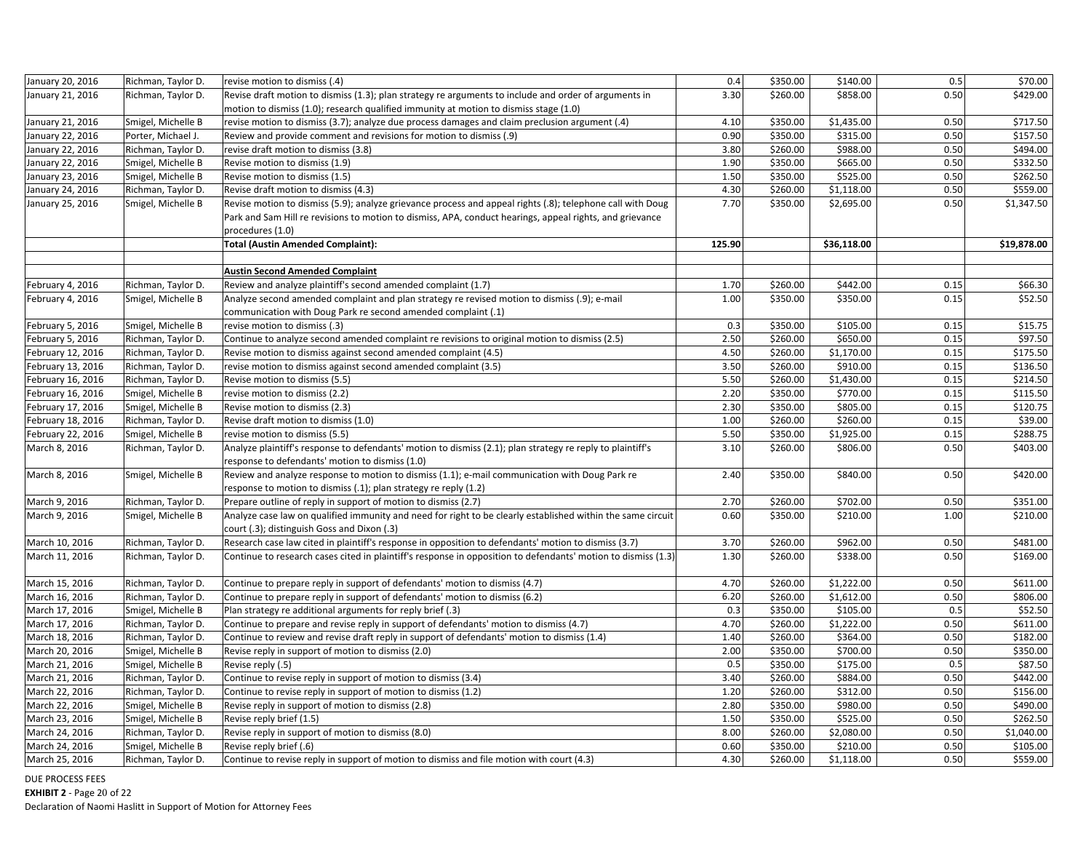| January 20, 2016  | Richman, Taylor D. | revise motion to dismiss (.4)                                                                                 | 0.4    | \$350.00 | \$140.00    | 0.5  | \$70.00     |
|-------------------|--------------------|---------------------------------------------------------------------------------------------------------------|--------|----------|-------------|------|-------------|
| January 21, 2016  | Richman, Taylor D. | Revise draft motion to dismiss (1.3); plan strategy re arguments to include and order of arguments in         | 3.30   | \$260.00 | \$858.00    | 0.50 | \$429.00    |
|                   |                    | motion to dismiss (1.0); research qualified immunity at motion to dismiss stage (1.0)                         |        |          |             |      |             |
| January 21, 2016  | Smigel, Michelle B | revise motion to dismiss (3.7); analyze due process damages and claim preclusion argument (.4)                | 4.10   | \$350.00 | \$1,435.00  | 0.50 | \$717.50    |
| January 22, 2016  | Porter, Michael J. | Review and provide comment and revisions for motion to dismiss (.9)                                           | 0.90   | \$350.00 | \$315.00    | 0.50 | \$157.50    |
| January 22, 2016  | Richman, Taylor D. | revise draft motion to dismiss (3.8)                                                                          | 3.80   | \$260.00 | \$988.00    | 0.50 | \$494.00    |
| January 22, 2016  | Smigel, Michelle B | Revise motion to dismiss (1.9)                                                                                | 1.90   | \$350.00 | \$665.00    | 0.50 | \$332.50    |
| January 23, 2016  | Smigel, Michelle B | Revise motion to dismiss (1.5)                                                                                | 1.50   | \$350.00 | \$525.00    | 0.50 | \$262.50    |
| January 24, 2016  | Richman, Taylor D. | Revise draft motion to dismiss (4.3)                                                                          | 4.30   | \$260.00 | \$1,118.00  | 0.50 | \$559.00    |
| January 25, 2016  | Smigel, Michelle B | Revise motion to dismiss (5.9); analyze grievance process and appeal rights (.8); telephone call with Doug    | 7.70   | \$350.00 | \$2,695.00  | 0.50 | \$1,347.50  |
|                   |                    | Park and Sam Hill re revisions to motion to dismiss, APA, conduct hearings, appeal rights, and grievance      |        |          |             |      |             |
|                   |                    | procedures (1.0)                                                                                              |        |          |             |      |             |
|                   |                    | Total (Austin Amended Complaint):                                                                             | 125.90 |          | \$36,118.00 |      | \$19,878.00 |
|                   |                    |                                                                                                               |        |          |             |      |             |
|                   |                    | <b>Austin Second Amended Complaint</b>                                                                        |        |          |             |      |             |
| February 4, 2016  | Richman, Taylor D  | Review and analyze plaintiff's second amended complaint (1.7)                                                 | 1.70   | \$260.00 | \$442.00    | 0.15 | \$66.30     |
| February 4, 2016  | Smigel, Michelle B | Analyze second amended complaint and plan strategy re revised motion to dismiss (.9); e-mail                  | 1.00   | \$350.00 | \$350.00    | 0.15 | \$52.50     |
|                   |                    | communication with Doug Park re second amended complaint (.1)                                                 |        |          |             |      |             |
| February 5, 2016  | Smigel, Michelle B | revise motion to dismiss (.3)                                                                                 | 0.3    | \$350.00 | \$105.00    | 0.15 | \$15.75     |
| February 5, 2016  | Richman, Taylor D. | Continue to analyze second amended complaint re revisions to original motion to dismiss (2.5)                 | 2.50   | \$260.00 | \$650.00    | 0.15 | \$97.50     |
| February 12, 2016 | Richman, Taylor D. | Revise motion to dismiss against second amended complaint (4.5)                                               | 4.50   | \$260.00 | \$1,170.00  | 0.15 | \$175.50    |
| February 13, 2016 | Richman, Taylor D. | revise motion to dismiss against second amended complaint (3.5)                                               | 3.50   | \$260.00 | \$910.00    | 0.15 | \$136.50    |
| February 16, 2016 | Richman, Taylor D. | Revise motion to dismiss (5.5)                                                                                | 5.50   | \$260.00 | \$1,430.00  | 0.15 | \$214.50    |
| February 16, 2016 | Smigel, Michelle B | revise motion to dismiss (2.2)                                                                                | 2.20   | \$350.00 | \$770.00    | 0.15 | \$115.50    |
| February 17, 2016 | Smigel, Michelle B | Revise motion to dismiss (2.3)                                                                                | 2.30   | \$350.00 | \$805.00    | 0.15 | \$120.75    |
| February 18, 2016 | Richman, Taylor D. | Revise draft motion to dismiss (1.0)                                                                          | 1.00   | \$260.00 | \$260.00    | 0.15 | \$39.00     |
| February 22, 2016 | Smigel, Michelle B | revise motion to dismiss (5.5)                                                                                | 5.50   | \$350.00 | \$1,925.00  | 0.15 | \$288.75    |
| March 8, 2016     | Richman, Taylor D. | Analyze plaintiff's response to defendants' motion to dismiss (2.1); plan strategy re reply to plaintiff's    | 3.10   | \$260.00 | \$806.00    | 0.50 | \$403.00    |
|                   |                    | response to defendants' motion to dismiss (1.0)                                                               |        |          |             |      |             |
| March 8, 2016     | Smigel, Michelle B | Review and analyze response to motion to dismiss (1.1); e-mail communication with Doug Park re                | 2.40   | \$350.00 | \$840.00    | 0.50 | \$420.00    |
|                   |                    | response to motion to dismiss (.1); plan strategy re reply (1.2)                                              |        |          |             |      |             |
| March 9, 2016     | Richman, Taylor D. | Prepare outline of reply in support of motion to dismiss (2.7)                                                | 2.70   | \$260.00 | \$702.00    | 0.50 | \$351.00    |
| March 9, 2016     | Smigel, Michelle B | Analyze case law on qualified immunity and need for right to be clearly established within the same circuit   | 0.60   | \$350.00 | \$210.00    | 1.00 | \$210.00    |
|                   |                    | court (.3); distinguish Goss and Dixon (.3)                                                                   |        |          |             |      |             |
| March 10, 2016    | Richman, Taylor D. | Research case law cited in plaintiff's response in opposition to defendants' motion to dismiss (3.7)          | 3.70   | \$260.00 | \$962.00    | 0.50 | \$481.00    |
| March 11, 2016    | Richman, Taylor D. | Continue to research cases cited in plaintiff's response in opposition to defendants' motion to dismiss (1.3) | 1.30   | \$260.00 | \$338.00    | 0.50 | \$169.00    |
|                   |                    |                                                                                                               |        |          |             |      |             |
| March 15, 2016    | Richman, Taylor D. | Continue to prepare reply in support of defendants' motion to dismiss (4.7)                                   | 4.70   | \$260.00 | \$1,222.00  | 0.50 | \$611.00    |
| March 16, 2016    | Richman, Taylor D. | Continue to prepare reply in support of defendants' motion to dismiss (6.2)                                   | 6.20   | \$260.00 | \$1,612.00  | 0.50 | \$806.00    |
| March 17, 2016    | Smigel, Michelle B | Plan strategy re additional arguments for reply brief (.3)                                                    | 0.3    | \$350.00 | \$105.00    | 0.5  | \$52.50     |
| March 17, 2016    | Richman, Taylor D. | Continue to prepare and revise reply in support of defendants' motion to dismiss (4.7)                        | 4.70   | \$260.00 | \$1,222.00  | 0.50 | \$611.00    |
| March 18, 2016    | Richman, Taylor D. | Continue to review and revise draft reply in support of defendants' motion to dismiss (1.4)                   | 1.40   | \$260.00 | \$364.00    | 0.50 | \$182.00    |
| March 20, 2016    | Smigel, Michelle B | Revise reply in support of motion to dismiss (2.0)                                                            | 2.00   | \$350.00 | \$700.00    | 0.50 | \$350.00    |
| March 21, 2016    | Smigel, Michelle B | Revise reply (.5)                                                                                             | 0.5    | \$350.00 | \$175.00    | 0.5  | \$87.50     |
| March 21, 2016    | Richman, Taylor D. | Continue to revise reply in support of motion to dismiss (3.4)                                                | 3.40   | \$260.00 | \$884.00    | 0.50 | \$442.00    |
| March 22, 2016    | Richman, Taylor D. | Continue to revise reply in support of motion to dismiss (1.2)                                                | 1.20   | \$260.00 | \$312.00    | 0.50 | \$156.00    |
| March 22, 2016    | Smigel, Michelle B | Revise reply in support of motion to dismiss (2.8)                                                            | 2.80   | \$350.00 | \$980.00    | 0.50 | \$490.00    |
| March 23, 2016    | Smigel, Michelle B | Revise reply brief (1.5)                                                                                      | 1.50   | \$350.00 | \$525.00    | 0.50 | \$262.50    |
| March 24, 2016    | Richman, Taylor D. | Revise reply in support of motion to dismiss (8.0)                                                            | 8.00   | \$260.00 | \$2,080.00  | 0.50 | \$1,040.00  |
|                   |                    |                                                                                                               | 0.60   | \$350.00 | \$210.00    | 0.50 | \$105.00    |
| March 24, 2016    | Smigel, Michelle B | Revise reply brief (.6)                                                                                       | 4.30   |          |             |      |             |
| March 25, 2016    | Richman, Taylor D. | Continue to revise reply in support of motion to dismiss and file motion with court (4.3)                     |        | \$260.00 | \$1,118.00  | 0.50 | \$559.00    |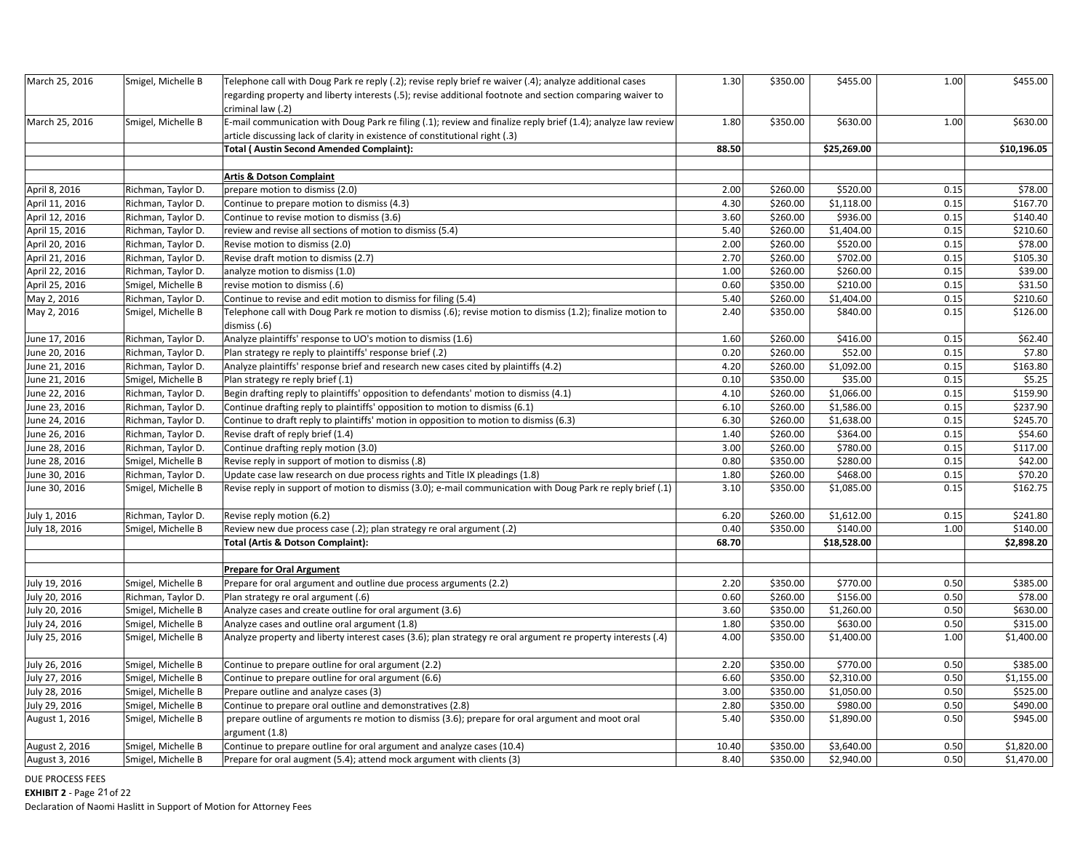| March 25, 2016 | Smigel, Michelle B | Telephone call with Doug Park re reply (.2); revise reply brief re waiver (.4); analyze additional cases<br>regarding property and liberty interests (.5); revise additional footnote and section comparing waiver to<br>criminal law (.2) | 1.30  | \$350.00 | \$455.00    | 1.00 | \$455.00    |
|----------------|--------------------|--------------------------------------------------------------------------------------------------------------------------------------------------------------------------------------------------------------------------------------------|-------|----------|-------------|------|-------------|
| March 25, 2016 | Smigel, Michelle B | E-mail communication with Doug Park re filing (.1); review and finalize reply brief (1.4); analyze law review<br>article discussing lack of clarity in existence of constitutional right (.3)                                              | 1.80  | \$350.00 | \$630.00    | 1.00 | \$630.00    |
|                |                    | <b>Total (Austin Second Amended Complaint):</b>                                                                                                                                                                                            | 88.50 |          | \$25,269.00 |      | \$10,196.05 |
|                |                    | <b>Artis &amp; Dotson Complaint</b>                                                                                                                                                                                                        |       |          |             |      |             |
| April 8, 2016  | Richman, Taylor D. | prepare motion to dismiss (2.0)                                                                                                                                                                                                            | 2.00  | \$260.00 | \$520.00    | 0.15 | \$78.00     |
| April 11, 2016 | Richman, Taylor D. | Continue to prepare motion to dismiss (4.3)                                                                                                                                                                                                | 4.30  | \$260.00 | \$1,118.00  | 0.15 | \$167.70    |
| April 12, 2016 | Richman, Taylor D. | Continue to revise motion to dismiss (3.6)                                                                                                                                                                                                 | 3.60  | \$260.00 | \$936.00    | 0.15 | \$140.40    |
| April 15, 2016 | Richman, Taylor D. | review and revise all sections of motion to dismiss (5.4)                                                                                                                                                                                  | 5.40  | \$260.00 | \$1,404.00  | 0.15 | \$210.60    |
| April 20, 2016 | Richman, Taylor D. | Revise motion to dismiss (2.0)                                                                                                                                                                                                             | 2.00  | \$260.00 | \$520.00    | 0.15 | \$78.00     |
| April 21, 2016 | Richman, Taylor D. | Revise draft motion to dismiss (2.7)                                                                                                                                                                                                       | 2.70  | \$260.00 | \$702.00    | 0.15 | \$105.30    |
| April 22, 2016 | Richman, Taylor D. | analyze motion to dismiss (1.0)                                                                                                                                                                                                            | 1.00  | \$260.00 | \$260.00    | 0.15 | \$39.00     |
| April 25, 2016 | Smigel, Michelle B | revise motion to dismiss (.6)                                                                                                                                                                                                              | 0.60  | \$350.00 | \$210.00    | 0.15 | \$31.50     |
| May 2, 2016    | Richman, Taylor D. | Continue to revise and edit motion to dismiss for filing (5.4)                                                                                                                                                                             | 5.40  | \$260.00 | \$1,404.00  | 0.15 | \$210.60    |
| May 2, 2016    | Smigel, Michelle B | Telephone call with Doug Park re motion to dismiss (.6); revise motion to dismiss (1.2); finalize motion to<br>dismiss (.6)                                                                                                                | 2.40  | \$350.00 | \$840.00    | 0.15 | \$126.00    |
| June 17, 2016  | Richman, Taylor D. | Analyze plaintiffs' response to UO's motion to dismiss (1.6)                                                                                                                                                                               | 1.60  | \$260.00 | \$416.00    | 0.15 | \$62.40     |
| June 20, 2016  | Richman, Taylor D. | Plan strategy re reply to plaintiffs' response brief (.2)                                                                                                                                                                                  | 0.20  | \$260.00 | \$52.00     | 0.15 | \$7.80      |
| June 21, 2016  | Richman, Taylor D. | Analyze plaintiffs' response brief and research new cases cited by plaintiffs (4.2)                                                                                                                                                        | 4.20  | \$260.00 | \$1,092.00  | 0.15 | \$163.80    |
| June 21, 2016  | Smigel, Michelle B | Plan strategy re reply brief (.1)                                                                                                                                                                                                          | 0.10  | \$350.00 | \$35.00     | 0.15 | \$5.25      |
| June 22, 2016  | Richman, Taylor D. | Begin drafting reply to plaintiffs' opposition to defendants' motion to dismiss (4.1)                                                                                                                                                      | 4.10  | \$260.00 | \$1,066.00  | 0.15 | \$159.90    |
| June 23, 2016  | Richman, Taylor D. | Continue drafting reply to plaintiffs' opposition to motion to dismiss (6.1)                                                                                                                                                               | 6.10  | \$260.00 | \$1,586.00  | 0.15 | \$237.90    |
| June 24, 2016  | Richman, Taylor D. | Continue to draft reply to plaintiffs' motion in opposition to motion to dismiss (6.3)                                                                                                                                                     | 6.30  | \$260.00 | \$1,638.00  | 0.15 | \$245.70    |
| June 26, 2016  | Richman, Taylor D. | Revise draft of reply brief (1.4)                                                                                                                                                                                                          | 1.40  | \$260.00 | \$364.00    | 0.15 | \$54.60     |
| June 28, 2016  | Richman, Taylor D. | Continue drafting reply motion (3.0)                                                                                                                                                                                                       | 3.00  | \$260.00 | \$780.00    | 0.15 | \$117.00    |
| June 28, 2016  | Smigel, Michelle B | Revise reply in support of motion to dismiss (.8)                                                                                                                                                                                          | 0.80  | \$350.00 | \$280.00    | 0.15 | \$42.00     |
| June 30, 2016  | Richman, Taylor D. | Update case law research on due process rights and Title IX pleadings (1.8)                                                                                                                                                                | 1.80  | \$260.00 | \$468.00    | 0.15 | \$70.20     |
| June 30, 2016  | Smigel, Michelle B | Revise reply in support of motion to dismiss (3.0); e-mail communication with Doug Park re reply brief (.1)                                                                                                                                | 3.10  | \$350.00 | \$1,085.00  | 0.15 | \$162.75    |
| July 1, 2016   | Richman, Taylor D. | Revise reply motion (6.2)                                                                                                                                                                                                                  | 6.20  | \$260.00 | \$1,612.00  | 0.15 | \$241.80    |
| July 18, 2016  | Smigel, Michelle B | Review new due process case (.2); plan strategy re oral argument (.2)                                                                                                                                                                      | 0.40  | \$350.00 | \$140.00    | 1.00 | \$140.00    |
|                |                    | Total (Artis & Dotson Complaint):                                                                                                                                                                                                          | 68.70 |          | \$18,528.00 |      | \$2,898.20  |
|                |                    | <b>Prepare for Oral Argument</b>                                                                                                                                                                                                           |       |          |             |      |             |
| July 19, 2016  | Smigel, Michelle B | Prepare for oral argument and outline due process arguments (2.2)                                                                                                                                                                          | 2.20  | \$350.00 | \$770.00    | 0.50 | \$385.00    |
| July 20, 2016  | Richman, Taylor D. | Plan strategy re oral argument (.6)                                                                                                                                                                                                        | 0.60  | \$260.00 | \$156.00    | 0.50 | \$78.00     |
| July 20, 2016  | Smigel, Michelle B | Analyze cases and create outline for oral argument (3.6)                                                                                                                                                                                   | 3.60  | \$350.00 | \$1,260.00  | 0.50 | \$630.00    |
| July 24, 2016  | Smigel, Michelle B | Analyze cases and outline oral argument (1.8)                                                                                                                                                                                              | 1.80  | \$350.00 | \$630.00    | 0.50 | \$315.00    |
| July 25, 2016  | Smigel, Michelle B | Analyze property and liberty interest cases (3.6); plan strategy re oral argument re property interests (.4)                                                                                                                               | 4.00  | \$350.00 | \$1,400.00  | 1.00 | \$1,400.00  |
| July 26, 2016  | Smigel, Michelle B | Continue to prepare outline for oral argument (2.2)                                                                                                                                                                                        | 2.20  | \$350.00 | \$770.00    | 0.50 | \$385.00    |
| July 27, 2016  | Smigel, Michelle B | Continue to prepare outline for oral argument (6.6)                                                                                                                                                                                        | 6.60  | \$350.00 | \$2,310.00  | 0.50 | \$1,155.00  |
| July 28, 2016  | Smigel, Michelle B | Prepare outline and analyze cases (3)                                                                                                                                                                                                      | 3.00  | \$350.00 | \$1,050.00  | 0.50 | \$525.00    |
| July 29, 2016  | Smigel, Michelle B | Continue to prepare oral outline and demonstratives (2.8)                                                                                                                                                                                  | 2.80  | \$350.00 | \$980.00    | 0.50 | \$490.00    |
| August 1, 2016 | Smigel, Michelle B | prepare outline of arguments re motion to dismiss (3.6); prepare for oral argument and moot oral<br>argument (1.8)                                                                                                                         | 5.40  | \$350.00 | \$1,890.00  | 0.50 | \$945.00    |
| August 2, 2016 | Smigel, Michelle B | Continue to prepare outline for oral argument and analyze cases (10.4)                                                                                                                                                                     | 10.40 | \$350.00 | \$3,640.00  | 0.50 | \$1,820.00  |
| August 3, 2016 | Smigel, Michelle B | Prepare for oral augment (5.4); attend mock argument with clients (3)                                                                                                                                                                      | 8.40  | \$350.00 | \$2,940.00  | 0.50 | \$1,470.00  |